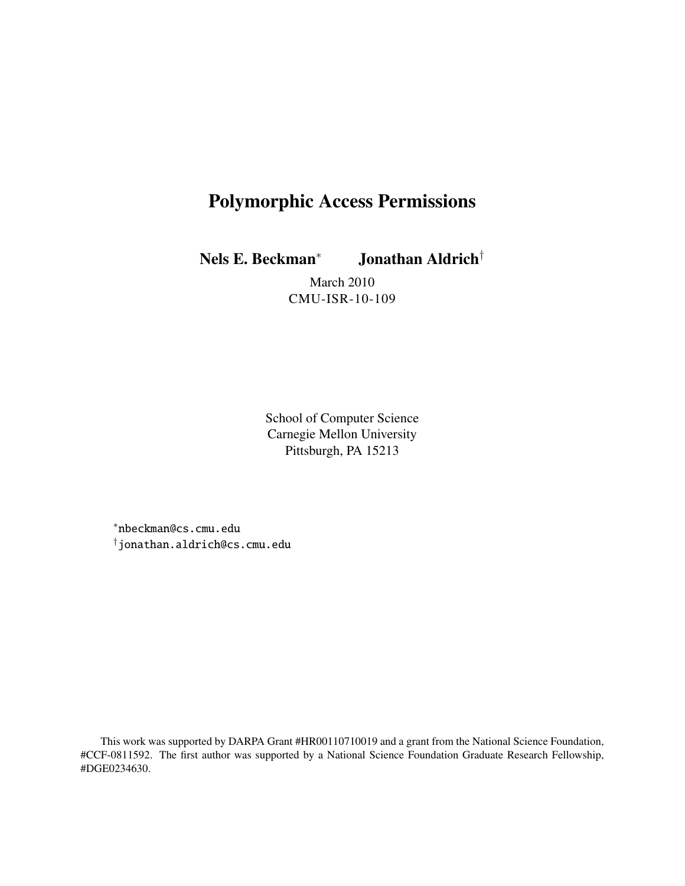# Polymorphic Access Permissions

Nels E. Beckman*<sup>∗</sup>* Jonathan Aldrich*†*

March 2010 CMU-ISR-10-109

School of Computer Science Carnegie Mellon University Pittsburgh, PA 15213

*∗*nbeckman@cs.cmu.edu *†*jonathan.aldrich@cs.cmu.edu

This work was supported by DARPA Grant #HR00110710019 and a grant from the National Science Foundation, #CCF-0811592. The first author was supported by a National Science Foundation Graduate Research Fellowship, #DGE0234630.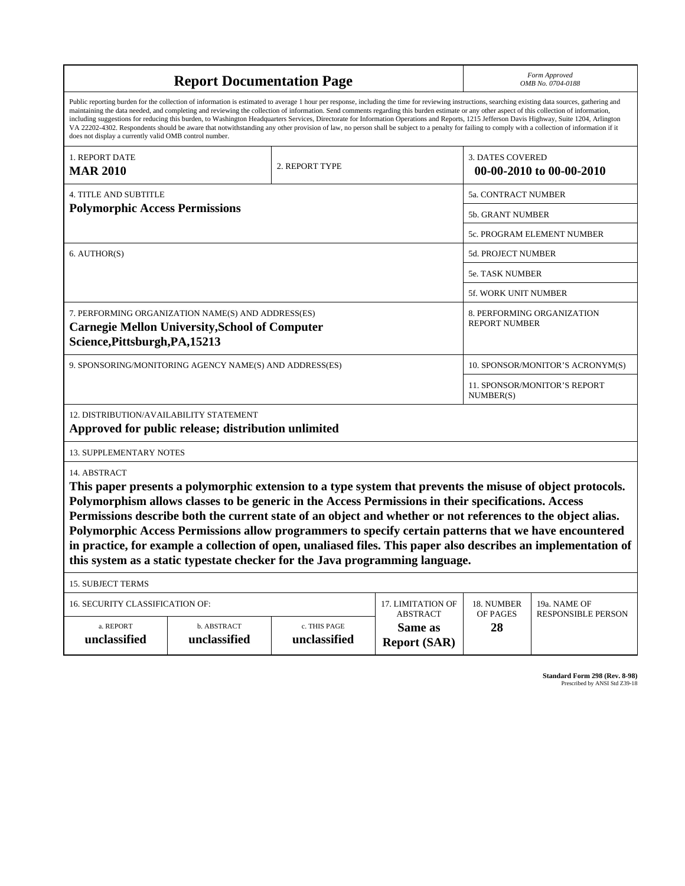| <b>Report Documentation Page</b>                                                                                                                                                                    |                                                                                                                                                                                                                                                                                                                                                                                                                                                                                                                                                                                                                                                                                                                                                                                                          |                                                  |                                      |                                  | Form Approved<br>OMB No. 0704-0188                                                                             |  |  |
|-----------------------------------------------------------------------------------------------------------------------------------------------------------------------------------------------------|----------------------------------------------------------------------------------------------------------------------------------------------------------------------------------------------------------------------------------------------------------------------------------------------------------------------------------------------------------------------------------------------------------------------------------------------------------------------------------------------------------------------------------------------------------------------------------------------------------------------------------------------------------------------------------------------------------------------------------------------------------------------------------------------------------|--------------------------------------------------|--------------------------------------|----------------------------------|----------------------------------------------------------------------------------------------------------------|--|--|
| does not display a currently valid OMB control number.                                                                                                                                              | Public reporting burden for the collection of information is estimated to average 1 hour per response, including the time for reviewing instructions, searching existing data sources, gathering and<br>maintaining the data needed, and completing and reviewing the collection of information. Send comments regarding this burden estimate or any other aspect of this collection of information,<br>including suggestions for reducing this burden, to Washington Headquarters Services, Directorate for Information Operations and Reports, 1215 Jefferson Davis Highway, Suite 1204, Arlington<br>VA 22202-4302. Respondents should be aware that notwithstanding any other provision of law, no person shall be subject to a penalty for failing to comply with a collection of information if it |                                                  |                                      |                                  |                                                                                                                |  |  |
| 1. REPORT DATE<br><b>MAR 2010</b>                                                                                                                                                                   |                                                                                                                                                                                                                                                                                                                                                                                                                                                                                                                                                                                                                                                                                                                                                                                                          |                                                  | <b>3. DATES COVERED</b>              | 00-00-2010 to 00-00-2010         |                                                                                                                |  |  |
| <b>4. TITLE AND SUBTITLE</b>                                                                                                                                                                        |                                                                                                                                                                                                                                                                                                                                                                                                                                                                                                                                                                                                                                                                                                                                                                                                          | 5a. CONTRACT NUMBER                              |                                      |                                  |                                                                                                                |  |  |
| <b>Polymorphic Access Permissions</b>                                                                                                                                                               |                                                                                                                                                                                                                                                                                                                                                                                                                                                                                                                                                                                                                                                                                                                                                                                                          |                                                  |                                      | 5b. GRANT NUMBER                 |                                                                                                                |  |  |
|                                                                                                                                                                                                     | 5c. PROGRAM ELEMENT NUMBER                                                                                                                                                                                                                                                                                                                                                                                                                                                                                                                                                                                                                                                                                                                                                                               |                                                  |                                      |                                  |                                                                                                                |  |  |
| 6. AUTHOR(S)                                                                                                                                                                                        |                                                                                                                                                                                                                                                                                                                                                                                                                                                                                                                                                                                                                                                                                                                                                                                                          |                                                  | 5d. PROJECT NUMBER                   |                                  |                                                                                                                |  |  |
|                                                                                                                                                                                                     |                                                                                                                                                                                                                                                                                                                                                                                                                                                                                                                                                                                                                                                                                                                                                                                                          |                                                  |                                      | <b>5e. TASK NUMBER</b>           |                                                                                                                |  |  |
|                                                                                                                                                                                                     |                                                                                                                                                                                                                                                                                                                                                                                                                                                                                                                                                                                                                                                                                                                                                                                                          |                                                  | 5f. WORK UNIT NUMBER                 |                                  |                                                                                                                |  |  |
| 7. PERFORMING ORGANIZATION NAME(S) AND ADDRESS(ES)<br>8. PERFORMING ORGANIZATION<br><b>REPORT NUMBER</b><br><b>Carnegie Mellon University, School of Computer</b><br>Science, Pittsburgh, PA, 15213 |                                                                                                                                                                                                                                                                                                                                                                                                                                                                                                                                                                                                                                                                                                                                                                                                          |                                                  |                                      |                                  |                                                                                                                |  |  |
| 9. SPONSORING/MONITORING AGENCY NAME(S) AND ADDRESS(ES)                                                                                                                                             |                                                                                                                                                                                                                                                                                                                                                                                                                                                                                                                                                                                                                                                                                                                                                                                                          |                                                  |                                      | 10. SPONSOR/MONITOR'S ACRONYM(S) |                                                                                                                |  |  |
|                                                                                                                                                                                                     |                                                                                                                                                                                                                                                                                                                                                                                                                                                                                                                                                                                                                                                                                                                                                                                                          | <b>11. SPONSOR/MONITOR'S REPORT</b><br>NUMBER(S) |                                      |                                  |                                                                                                                |  |  |
| 12. DISTRIBUTION/AVAILABILITY STATEMENT                                                                                                                                                             | Approved for public release; distribution unlimited                                                                                                                                                                                                                                                                                                                                                                                                                                                                                                                                                                                                                                                                                                                                                      |                                                  |                                      |                                  |                                                                                                                |  |  |
| <b>13. SUPPLEMENTARY NOTES</b>                                                                                                                                                                      |                                                                                                                                                                                                                                                                                                                                                                                                                                                                                                                                                                                                                                                                                                                                                                                                          |                                                  |                                      |                                  |                                                                                                                |  |  |
| 14. ABSTRACT                                                                                                                                                                                        | This paper presents a polymorphic extension to a type system that prevents the misuse of object protocols.<br>Polymorphism allows classes to be generic in the Access Permissions in their specifications. Access<br>Permissions describe both the current state of an object and whether or not references to the object alias.<br>Polymorphic Access Permissions allow programmers to specify certain patterns that we have encountered<br>this system as a static typestate checker for the Java programming language.                                                                                                                                                                                                                                                                                |                                                  |                                      |                                  | in practice, for example a collection of open, unaliased files. This paper also describes an implementation of |  |  |
| <b>15. SUBJECT TERMS</b>                                                                                                                                                                            |                                                                                                                                                                                                                                                                                                                                                                                                                                                                                                                                                                                                                                                                                                                                                                                                          |                                                  |                                      |                                  |                                                                                                                |  |  |
| 16. SECURITY CLASSIFICATION OF:                                                                                                                                                                     |                                                                                                                                                                                                                                                                                                                                                                                                                                                                                                                                                                                                                                                                                                                                                                                                          |                                                  | 17. LIMITATION OF<br><b>ABSTRACT</b> | 18. NUMBER<br>OF PAGES           | 19a. NAME OF<br><b>RESPONSIBLE PERSON</b>                                                                      |  |  |
| a. REPORT<br>unclassified                                                                                                                                                                           | b. ABSTRACT<br>c. THIS PAGE<br>unclassified<br>unclassified                                                                                                                                                                                                                                                                                                                                                                                                                                                                                                                                                                                                                                                                                                                                              |                                                  | Same as<br><b>Report (SAR)</b>       | 28                               |                                                                                                                |  |  |

**Standard Form 298 (Rev. 8-98)**<br>Prescribed by ANSI Std Z39-18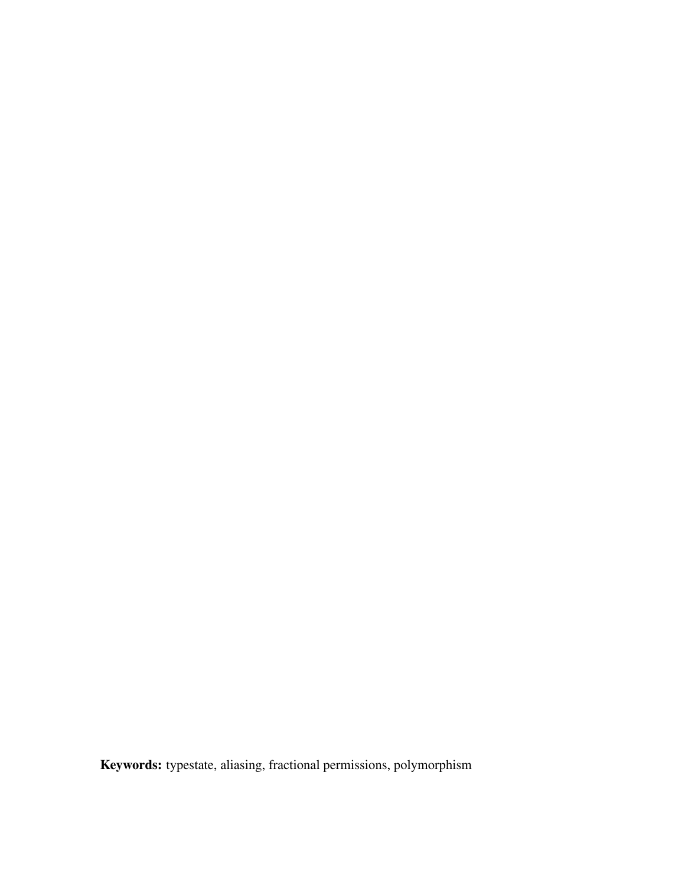Keywords: typestate, aliasing, fractional permissions, polymorphism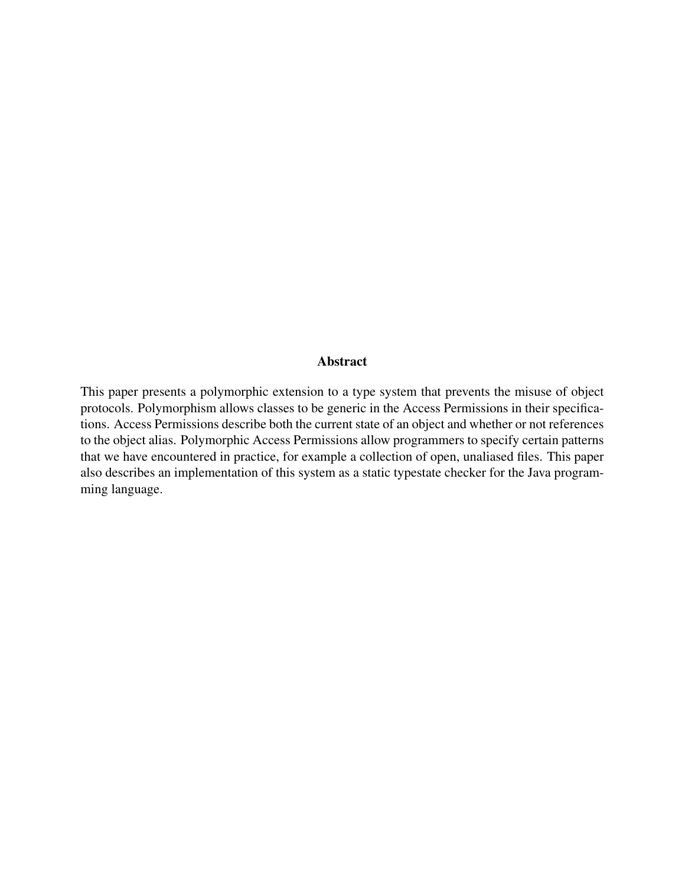### Abstract

This paper presents a polymorphic extension to a type system that prevents the misuse of object protocols. Polymorphism allows classes to be generic in the Access Permissions in their specifications. Access Permissions describe both the current state of an object and whether or not references to the object alias. Polymorphic Access Permissions allow programmers to specify certain patterns that we have encountered in practice, for example a collection of open, unaliased files. This paper also describes an implementation of this system as a static typestate checker for the Java programming language.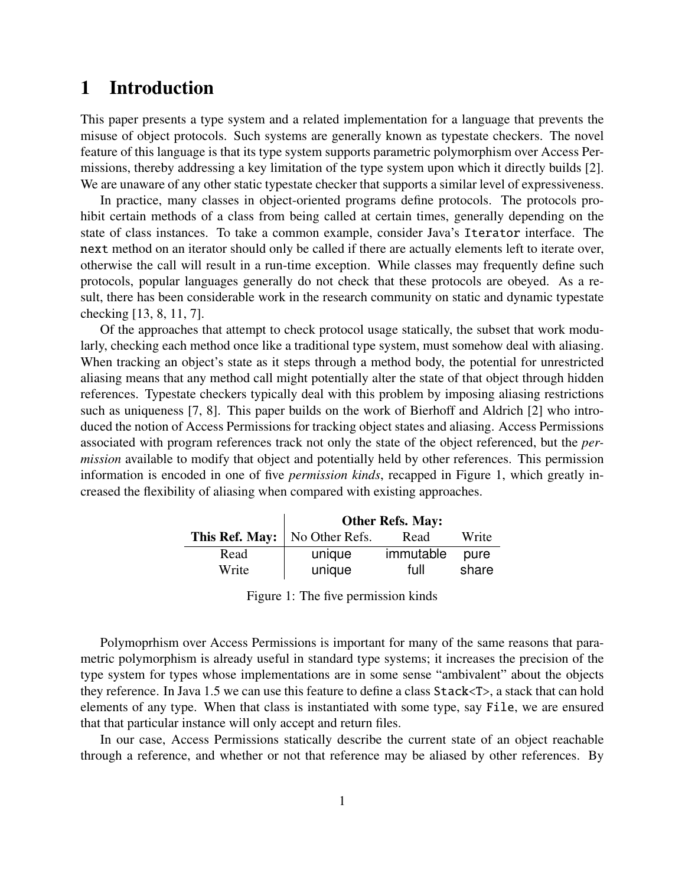# 1 Introduction

This paper presents a type system and a related implementation for a language that prevents the misuse of object protocols. Such systems are generally known as typestate checkers. The novel feature of this language is that its type system supports parametric polymorphism over Access Permissions, thereby addressing a key limitation of the type system upon which it directly builds [2]. We are unaware of any other static typestate checker that supports a similar level of expressiveness.

In practice, many classes in object-oriented programs define protocols. The protocols prohibit certain methods of a class from being called at certain times, generally depending on the state of class instances. To take a common example, consider Java's Iterator interface. The next method on an iterator should only be called if there are actually elements left to iterate over, otherwise the call will result in a run-time exception. While classes may frequently define such protocols, popular languages generally do not check that these protocols are obeyed. As a result, there has been considerable work in the research community on static and dynamic typestate checking [13, 8, 11, 7].

Of the approaches that attempt to check protocol usage statically, the subset that work modularly, checking each method once like a traditional type system, must somehow deal with aliasing. When tracking an object's state as it steps through a method body, the potential for unrestricted aliasing means that any method call might potentially alter the state of that object through hidden references. Typestate checkers typically deal with this problem by imposing aliasing restrictions such as uniqueness [7, 8]. This paper builds on the work of Bierhoff and Aldrich [2] who introduced the notion of Access Permissions for tracking object states and aliasing. Access Permissions associated with program references track not only the state of the object referenced, but the *permission* available to modify that object and potentially held by other references. This permission information is encoded in one of five *permission kinds*, recapped in Figure 1, which greatly increased the flexibility of aliasing when compared with existing approaches.

|                                 | <b>Other Refs. May:</b> |           |       |
|---------------------------------|-------------------------|-----------|-------|
| This Ref. May:   No Other Refs. |                         | Read      | Write |
| Read                            | unique                  | immutable | pure  |
| Write                           | unique                  | full      | share |

Figure 1: The five permission kinds

Polymoprhism over Access Permissions is important for many of the same reasons that parametric polymorphism is already useful in standard type systems; it increases the precision of the type system for types whose implementations are in some sense "ambivalent" about the objects they reference. In Java 1.5 we can use this feature to define a class Stack<T>, a stack that can hold elements of any type. When that class is instantiated with some type, say File, we are ensured that that particular instance will only accept and return files.

In our case, Access Permissions statically describe the current state of an object reachable through a reference, and whether or not that reference may be aliased by other references. By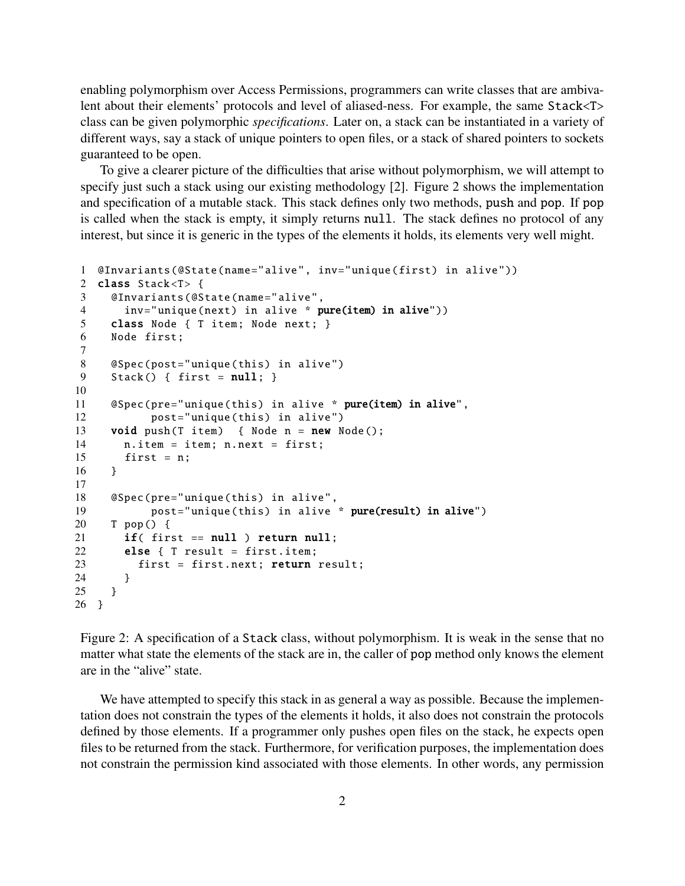enabling polymorphism over Access Permissions, programmers can write classes that are ambivalent about their elements' protocols and level of aliased-ness. For example, the same Stack<T> class can be given polymorphic *specifications*. Later on, a stack can be instantiated in a variety of different ways, say a stack of unique pointers to open files, or a stack of shared pointers to sockets guaranteed to be open.

To give a clearer picture of the difficulties that arise without polymorphism, we will attempt to specify just such a stack using our existing methodology [2]. Figure 2 shows the implementation and specification of a mutable stack. This stack defines only two methods, push and pop. If pop is called when the stack is empty, it simply returns null. The stack defines no protocol of any interest, but since it is generic in the types of the elements it holds, its elements very well might.

```
1 @Invariants (@State(name="alive", inv="unique(first) in alive"))
2 class Stack<T> {
3 @Invariants (@State(name="alive",
4 inv="unique(next) in alive * pure(item) in alive"))
5 class Node { T item; Node next; }
6 Node first;
7
8 @Spec(post="unique(this) in alive")
9 Stack () { first = null; }
10
11 @Spec(pre="unique(this) in alive * pure(item) in alive",
12 post="unique(this) in alive")
13 void push(T item) { Node n = new Node();14 n.item = item; n.next = first;
15 first = n;
16 }
17
18 @Spec(pre="unique(this) in alive",
19 post="unique(this) in alive * pure(result) in alive")
20 T pop () {
21 if( first == null ) return null;
22 else { T result = first.item;
23 first = first.next; return result;
24 }
25 }
26 }
```
Figure 2: A specification of a Stack class, without polymorphism. It is weak in the sense that no matter what state the elements of the stack are in, the caller of pop method only knows the element are in the "alive" state.

We have attempted to specify this stack in as general a way as possible. Because the implementation does not constrain the types of the elements it holds, it also does not constrain the protocols defined by those elements. If a programmer only pushes open files on the stack, he expects open files to be returned from the stack. Furthermore, for verification purposes, the implementation does not constrain the permission kind associated with those elements. In other words, any permission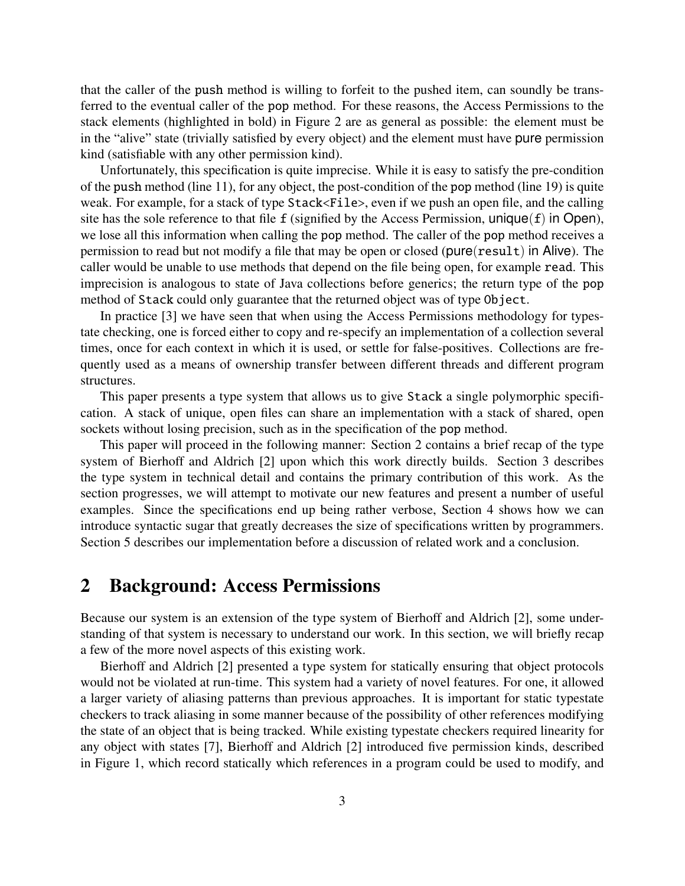that the caller of the push method is willing to forfeit to the pushed item, can soundly be transferred to the eventual caller of the pop method. For these reasons, the Access Permissions to the stack elements (highlighted in bold) in Figure 2 are as general as possible: the element must be in the "alive" state (trivially satisfied by every object) and the element must have pure permission kind (satisfiable with any other permission kind).

Unfortunately, this specification is quite imprecise. While it is easy to satisfy the pre-condition of the push method (line 11), for any object, the post-condition of the pop method (line 19) is quite weak. For example, for a stack of type Stack<File>, even if we push an open file, and the calling site has the sole reference to that file f (signified by the Access Permission,  $unique(f)$  in Open), we lose all this information when calling the pop method. The caller of the pop method receives a permission to read but not modify a file that may be open or closed (pure(result) in Alive). The caller would be unable to use methods that depend on the file being open, for example read. This imprecision is analogous to state of Java collections before generics; the return type of the pop method of Stack could only guarantee that the returned object was of type Object.

In practice [3] we have seen that when using the Access Permissions methodology for typestate checking, one is forced either to copy and re-specify an implementation of a collection several times, once for each context in which it is used, or settle for false-positives. Collections are frequently used as a means of ownership transfer between different threads and different program structures.

This paper presents a type system that allows us to give Stack a single polymorphic specification. A stack of unique, open files can share an implementation with a stack of shared, open sockets without losing precision, such as in the specification of the pop method.

This paper will proceed in the following manner: Section 2 contains a brief recap of the type system of Bierhoff and Aldrich [2] upon which this work directly builds. Section 3 describes the type system in technical detail and contains the primary contribution of this work. As the section progresses, we will attempt to motivate our new features and present a number of useful examples. Since the specifications end up being rather verbose, Section 4 shows how we can introduce syntactic sugar that greatly decreases the size of specifications written by programmers. Section 5 describes our implementation before a discussion of related work and a conclusion.

### 2 Background: Access Permissions

Because our system is an extension of the type system of Bierhoff and Aldrich [2], some understanding of that system is necessary to understand our work. In this section, we will briefly recap a few of the more novel aspects of this existing work.

Bierhoff and Aldrich [2] presented a type system for statically ensuring that object protocols would not be violated at run-time. This system had a variety of novel features. For one, it allowed a larger variety of aliasing patterns than previous approaches. It is important for static typestate checkers to track aliasing in some manner because of the possibility of other references modifying the state of an object that is being tracked. While existing typestate checkers required linearity for any object with states [7], Bierhoff and Aldrich [2] introduced five permission kinds, described in Figure 1, which record statically which references in a program could be used to modify, and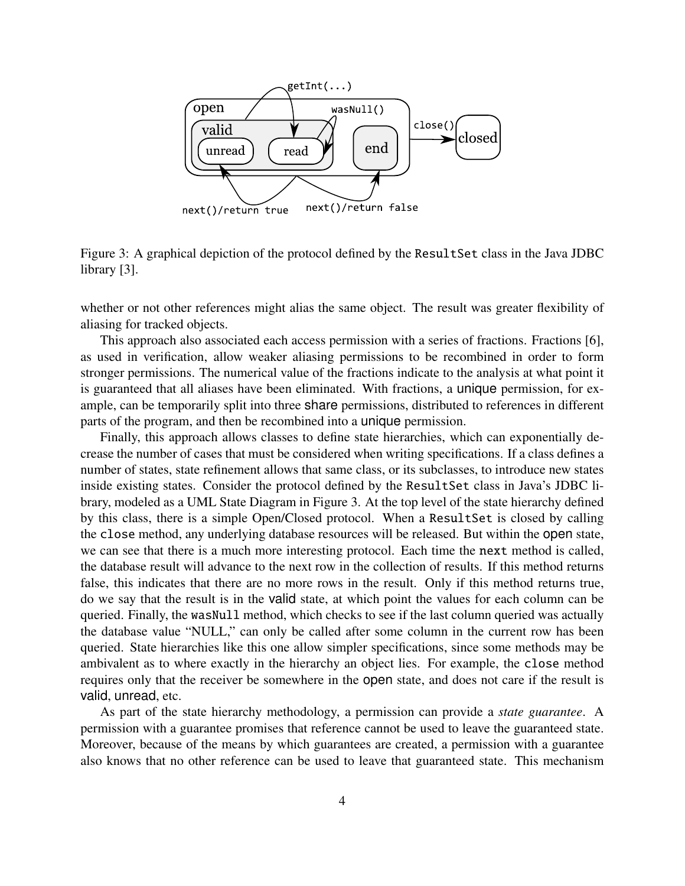

Figure 3: A graphical depiction of the protocol defined by the ResultSet class in the Java JDBC library [3].

whether or not other references might alias the same object. The result was greater flexibility of aliasing for tracked objects.

This approach also associated each access permission with a series of fractions. Fractions [6], as used in verification, allow weaker aliasing permissions to be recombined in order to form stronger permissions. The numerical value of the fractions indicate to the analysis at what point it is guaranteed that all aliases have been eliminated. With fractions, a unique permission, for example, can be temporarily split into three share permissions, distributed to references in different parts of the program, and then be recombined into a unique permission.

Finally, this approach allows classes to define state hierarchies, which can exponentially decrease the number of cases that must be considered when writing specifications. If a class defines a number of states, state refinement allows that same class, or its subclasses, to introduce new states inside existing states. Consider the protocol defined by the ResultSet class in Java's JDBC library, modeled as a UML State Diagram in Figure 3. At the top level of the state hierarchy defined by this class, there is a simple Open/Closed protocol. When a ResultSet is closed by calling the close method, any underlying database resources will be released. But within the open state, we can see that there is a much more interesting protocol. Each time the next method is called, the database result will advance to the next row in the collection of results. If this method returns false, this indicates that there are no more rows in the result. Only if this method returns true, do we say that the result is in the valid state, at which point the values for each column can be queried. Finally, the wasNull method, which checks to see if the last column queried was actually the database value "NULL," can only be called after some column in the current row has been queried. State hierarchies like this one allow simpler specifications, since some methods may be ambivalent as to where exactly in the hierarchy an object lies. For example, the close method requires only that the receiver be somewhere in the open state, and does not care if the result is valid, unread, etc.

As part of the state hierarchy methodology, a permission can provide a *state guarantee*. A permission with a guarantee promises that reference cannot be used to leave the guaranteed state. Moreover, because of the means by which guarantees are created, a permission with a guarantee also knows that no other reference can be used to leave that guaranteed state. This mechanism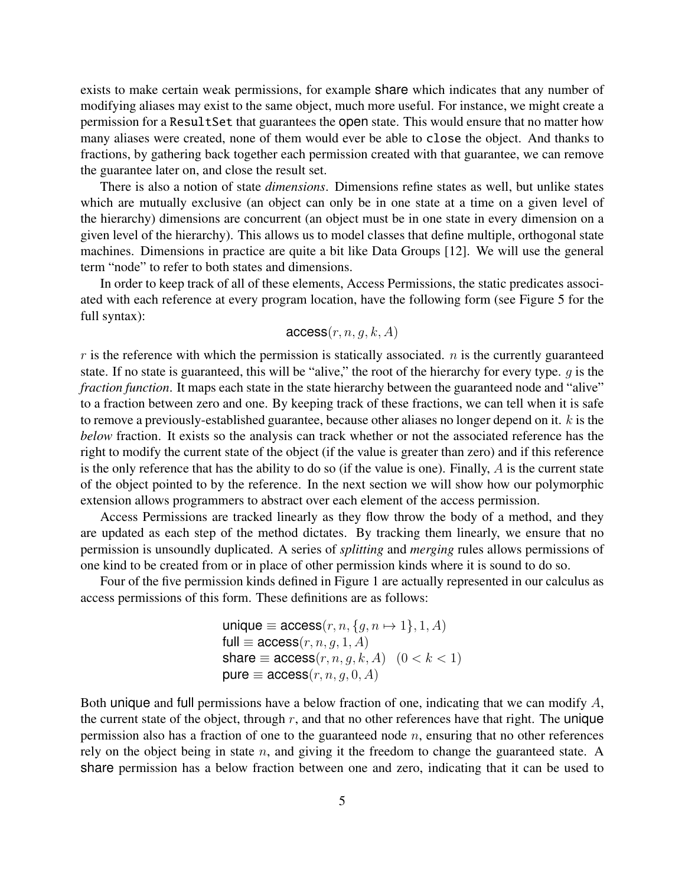exists to make certain weak permissions, for example share which indicates that any number of modifying aliases may exist to the same object, much more useful. For instance, we might create a permission for a ResultSet that guarantees the open state. This would ensure that no matter how many aliases were created, none of them would ever be able to close the object. And thanks to fractions, by gathering back together each permission created with that guarantee, we can remove the guarantee later on, and close the result set.

There is also a notion of state *dimensions*. Dimensions refine states as well, but unlike states which are mutually exclusive (an object can only be in one state at a time on a given level of the hierarchy) dimensions are concurrent (an object must be in one state in every dimension on a given level of the hierarchy). This allows us to model classes that define multiple, orthogonal state machines. Dimensions in practice are quite a bit like Data Groups [12]. We will use the general term "node" to refer to both states and dimensions.

In order to keep track of all of these elements, Access Permissions, the static predicates associated with each reference at every program location, have the following form (see Figure 5 for the full syntax):

### $access(r, n, q, k, A)$

 $r$  is the reference with which the permission is statically associated.  $n$  is the currently guaranteed state. If no state is guaranteed, this will be "alive," the root of the hierarchy for every type. *g* is the *fraction function*. It maps each state in the state hierarchy between the guaranteed node and "alive" to a fraction between zero and one. By keeping track of these fractions, we can tell when it is safe to remove a previously-established guarantee, because other aliases no longer depend on it. *k* is the *below* fraction. It exists so the analysis can track whether or not the associated reference has the right to modify the current state of the object (if the value is greater than zero) and if this reference is the only reference that has the ability to do so (if the value is one). Finally, *A* is the current state of the object pointed to by the reference. In the next section we will show how our polymorphic extension allows programmers to abstract over each element of the access permission.

Access Permissions are tracked linearly as they flow throw the body of a method, and they are updated as each step of the method dictates. By tracking them linearly, we ensure that no permission is unsoundly duplicated. A series of *splitting* and *merging* rules allows permissions of one kind to be created from or in place of other permission kinds where it is sound to do so.

Four of the five permission kinds defined in Figure 1 are actually represented in our calculus as access permissions of this form. These definitions are as follows:

> $unique \equiv access(r, n, {g, n \mapsto 1}, 1, A)$  $full \equiv \arccos(r, n, q, 1, A)$ share  $\equiv$  access $(r, n, g, k, A)$   $(0 < k < 1)$  $pure \equiv access(r, n, g, 0, A)$

Both unique and full permissions have a below fraction of one, indicating that we can modify *A*, the current state of the object, through  $r$ , and that no other references have that right. The unique permission also has a fraction of one to the guaranteed node *n*, ensuring that no other references rely on the object being in state *n*, and giving it the freedom to change the guaranteed state. A share permission has a below fraction between one and zero, indicating that it can be used to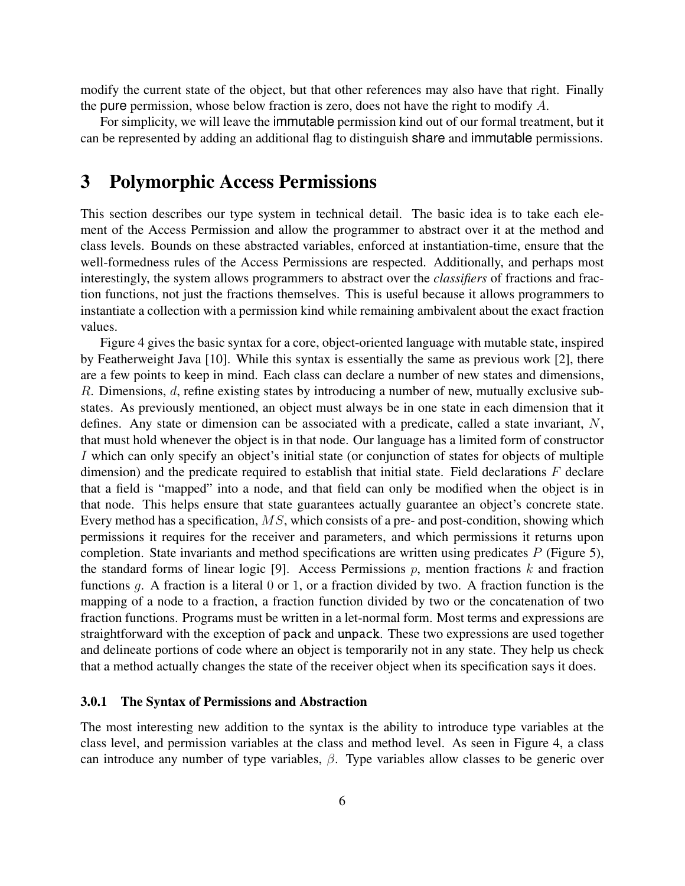modify the current state of the object, but that other references may also have that right. Finally the pure permission, whose below fraction is zero, does not have the right to modify *A*.

For simplicity, we will leave the immutable permission kind out of our formal treatment, but it can be represented by adding an additional flag to distinguish share and immutable permissions.

# 3 Polymorphic Access Permissions

This section describes our type system in technical detail. The basic idea is to take each element of the Access Permission and allow the programmer to abstract over it at the method and class levels. Bounds on these abstracted variables, enforced at instantiation-time, ensure that the well-formedness rules of the Access Permissions are respected. Additionally, and perhaps most interestingly, the system allows programmers to abstract over the *classifiers* of fractions and fraction functions, not just the fractions themselves. This is useful because it allows programmers to instantiate a collection with a permission kind while remaining ambivalent about the exact fraction values.

Figure 4 gives the basic syntax for a core, object-oriented language with mutable state, inspired by Featherweight Java [10]. While this syntax is essentially the same as previous work [2], there are a few points to keep in mind. Each class can declare a number of new states and dimensions, *R*. Dimensions, *d*, refine existing states by introducing a number of new, mutually exclusive substates. As previously mentioned, an object must always be in one state in each dimension that it defines. Any state or dimension can be associated with a predicate, called a state invariant, *N*, that must hold whenever the object is in that node. Our language has a limited form of constructor *I* which can only specify an object's initial state (or conjunction of states for objects of multiple dimension) and the predicate required to establish that initial state. Field declarations *F* declare that a field is "mapped" into a node, and that field can only be modified when the object is in that node. This helps ensure that state guarantees actually guarantee an object's concrete state. Every method has a specification, *MS*, which consists of a pre- and post-condition, showing which permissions it requires for the receiver and parameters, and which permissions it returns upon completion. State invariants and method specifications are written using predicates *P* (Figure 5), the standard forms of linear logic [9]. Access Permissions *p*, mention fractions *k* and fraction functions *g*. A fraction is a literal 0 or 1, or a fraction divided by two. A fraction function is the mapping of a node to a fraction, a fraction function divided by two or the concatenation of two fraction functions. Programs must be written in a let-normal form. Most terms and expressions are straightforward with the exception of pack and unpack. These two expressions are used together and delineate portions of code where an object is temporarily not in any state. They help us check that a method actually changes the state of the receiver object when its specification says it does.

#### 3.0.1 The Syntax of Permissions and Abstraction

The most interesting new addition to the syntax is the ability to introduce type variables at the class level, and permission variables at the class and method level. As seen in Figure 4, a class can introduce any number of type variables, *β*. Type variables allow classes to be generic over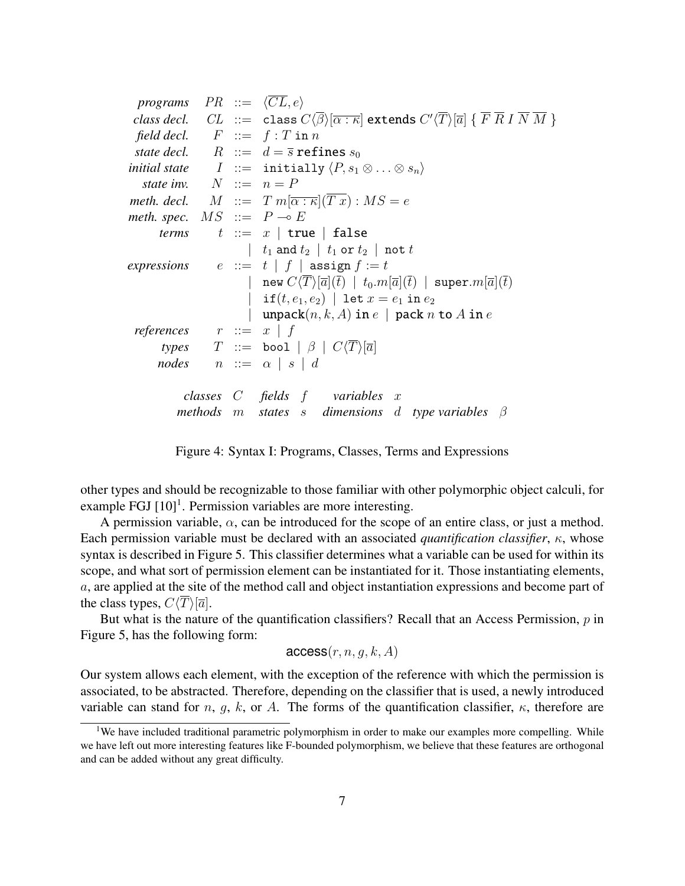| <i>programs</i> $PR ::= \langle CL, e \rangle$ |  |                                                                                                                                                                                          |
|------------------------------------------------|--|------------------------------------------------------------------------------------------------------------------------------------------------------------------------------------------|
|                                                |  | class decl. $CL ::= \text{class } C(\beta)[\overline{\alpha : \kappa}] \text{ extends } C'(\overline{T})[\overline{\alpha}] \{ \overline{F} \overline{R} I \overline{N} \overline{M} \}$ |
|                                                |  | field decl. $F ::= f : T \text{ in } n$                                                                                                                                                  |
|                                                |  | state decl. $R ::= d = \overline{s}$ refines $s_0$                                                                                                                                       |
|                                                |  | <i>initial state</i> $I ::=$ initially $\langle P, s_1 \otimes \ldots \otimes s_n \rangle$                                                                                               |
| state inv. $N ::= n = P$                       |  |                                                                                                                                                                                          |
|                                                |  | <i>meth. decl.</i> $M := T m[\overline{\alpha : \kappa}](T x) : MS = e$                                                                                                                  |
| meth. spec. $MS ::= P \rightarrow E$           |  |                                                                                                                                                                                          |
| terms                                          |  | $t \ ::= x \mid true \mid false$                                                                                                                                                         |
|                                                |  | $\begin{array}{ c c c c c c } \hline \end{array}$ $\begin{array}{ c c c c c } \hline t_1 \text{ and } t_2 & t_1 \text{ or } t_2 & \text{not } t_1 \hline \end{array}$                    |
|                                                |  | expressions $e ::= t   f  $ assign $f := t$                                                                                                                                              |
|                                                |  | new $C\langle \overline{T}\rangle[\overline{a}](\overline{t})$   $t_0.m[\overline{a}](\overline{t})$   super. $m[\overline{a}](t)$                                                       |
|                                                |  | if $(t, e_1, e_2)$   let $x = e_1$ in $e_2$                                                                                                                                              |
|                                                |  | $\mathsf{unpack}(n, k, A)$ in $e \mid \mathsf{pack}\ n$ to $A$ in $e$                                                                                                                    |
| references                                     |  | $r \ ::= x \mid f$                                                                                                                                                                       |
| types                                          |  | $T$ ::= bool $\mid \beta \mid C\langle T\rangle[\overline{a}]$                                                                                                                           |
| nodes                                          |  | $n \cdots = \alpha \mid s \mid d$                                                                                                                                                        |
|                                                |  | classes $C$ fields $f$ variables $x$                                                                                                                                                     |
|                                                |  | methods m states s dimensions d type variables $\beta$                                                                                                                                   |
|                                                |  |                                                                                                                                                                                          |

Figure 4: Syntax I: Programs, Classes, Terms and Expressions

other types and should be recognizable to those familiar with other polymorphic object calculi, for example FGJ  $[10]$ <sup>1</sup>. Permission variables are more interesting.

A permission variable,  $\alpha$ , can be introduced for the scope of an entire class, or just a method. Each permission variable must be declared with an associated *quantification classifier*, *κ*, whose syntax is described in Figure 5. This classifier determines what a variable can be used for within its scope, and what sort of permission element can be instantiated for it. Those instantiating elements, *a*, are applied at the site of the method call and object instantiation expressions and become part of the class types,  $C\langle \overline{T}\rangle[\overline{a}].$ 

But what is the nature of the quantification classifiers? Recall that an Access Permission, *p* in Figure 5, has the following form:

$$
\mathsf{access}(r, n, g, k, A)
$$

Our system allows each element, with the exception of the reference with which the permission is associated, to be abstracted. Therefore, depending on the classifier that is used, a newly introduced variable can stand for *n*, *g*, *k*, or *A*. The forms of the quantification classifier,  $\kappa$ , therefore are

<sup>&</sup>lt;sup>1</sup>We have included traditional parametric polymorphism in order to make our examples more compelling. While we have left out more interesting features like F-bounded polymorphism, we believe that these features are orthogonal and can be added without any great difficulty.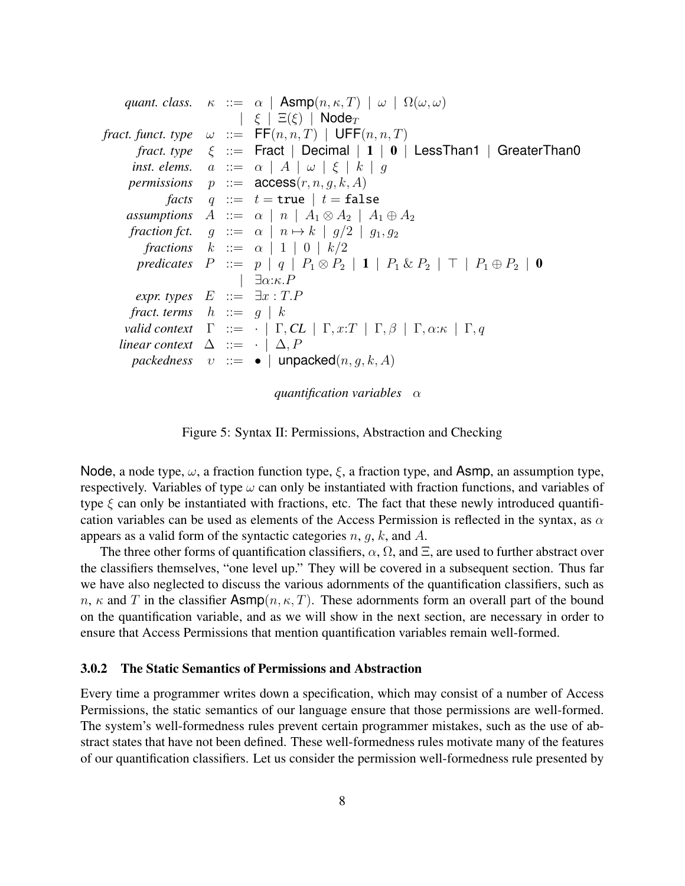|                                               |  | quant. class. $\kappa ::= \alpha   \text{Asmp}(n, \kappa, T)   \omega   \Omega(\omega, \omega)$                |
|-----------------------------------------------|--|----------------------------------------------------------------------------------------------------------------|
|                                               |  | $ \xi  \equiv (\xi)$   Node <sub>T</sub>                                                                       |
|                                               |  | fract. funct. type $\omega ::= FF(n,n,T)   UFF(n,n,T)$                                                         |
|                                               |  | <i>fract. type</i> $\xi$ ::= Fract   Decimal   1   0   LessThan1   GreaterThan0                                |
|                                               |  | inst. elems. $a ::= \alpha   A   \omega   \xi   k   g$                                                         |
|                                               |  | <i>permissions</i> $p ::= \text{access}(r, n, q, k, A)$                                                        |
|                                               |  | <i>facts</i> $q ::= t = \text{true}   t = \text{false}$                                                        |
|                                               |  | assumptions $A ::= \alpha   n   A_1 \otimes A_2   A_1 \oplus A_2$                                              |
|                                               |  | fraction fct. $g ::= \alpha   n \mapsto k   g/2   g_1, g_2$                                                    |
|                                               |  | fractions $k ::= \alpha   1   0   k/2$                                                                         |
|                                               |  | predicates $P ::= p   q   P_1 \otimes P_2   1   P_1 \otimes P_2   \top   P_1 \oplus P_2   0$                   |
|                                               |  | $ \exists \alpha:\kappa.P$                                                                                     |
| expr. types $E ::= \exists x : T.P$           |  |                                                                                                                |
| fract. terms $h ::= g   k$                    |  |                                                                                                                |
|                                               |  | valid context $\Gamma := \cdot   \Gamma, CL   \Gamma, x:T   \Gamma, \beta   \Gamma, \alpha \kappa   \Gamma, q$ |
| linear context $\Delta ::= \cdot   \Delta, P$ |  |                                                                                                                |
|                                               |  | <i>packedness</i> $v ::= \bullet  $ unpacked $(n, g, k, A)$                                                    |
|                                               |  |                                                                                                                |

*quantification variables α*

Figure 5: Syntax II: Permissions, Abstraction and Checking

Node, a node type, *ω*, a fraction function type, *ξ*, a fraction type, and Asmp, an assumption type, respectively. Variables of type *ω* can only be instantiated with fraction functions, and variables of type *ξ* can only be instantiated with fractions, etc. The fact that these newly introduced quantification variables can be used as elements of the Access Permission is reflected in the syntax, as *α* appears as a valid form of the syntactic categories *n*, *g*, *k*, and *A*.

The three other forms of quantification classifiers,  $\alpha$ ,  $\Omega$ , and  $\Xi$ , are used to further abstract over the classifiers themselves, "one level up." They will be covered in a subsequent section. Thus far we have also neglected to discuss the various adornments of the quantification classifiers, such as *n*,  $\kappa$  and *T* in the classifier Asmp $(n, \kappa, T)$ . These adornments form an overall part of the bound on the quantification variable, and as we will show in the next section, are necessary in order to ensure that Access Permissions that mention quantification variables remain well-formed.

### 3.0.2 The Static Semantics of Permissions and Abstraction

Every time a programmer writes down a specification, which may consist of a number of Access Permissions, the static semantics of our language ensure that those permissions are well-formed. The system's well-formedness rules prevent certain programmer mistakes, such as the use of abstract states that have not been defined. These well-formedness rules motivate many of the features of our quantification classifiers. Let us consider the permission well-formedness rule presented by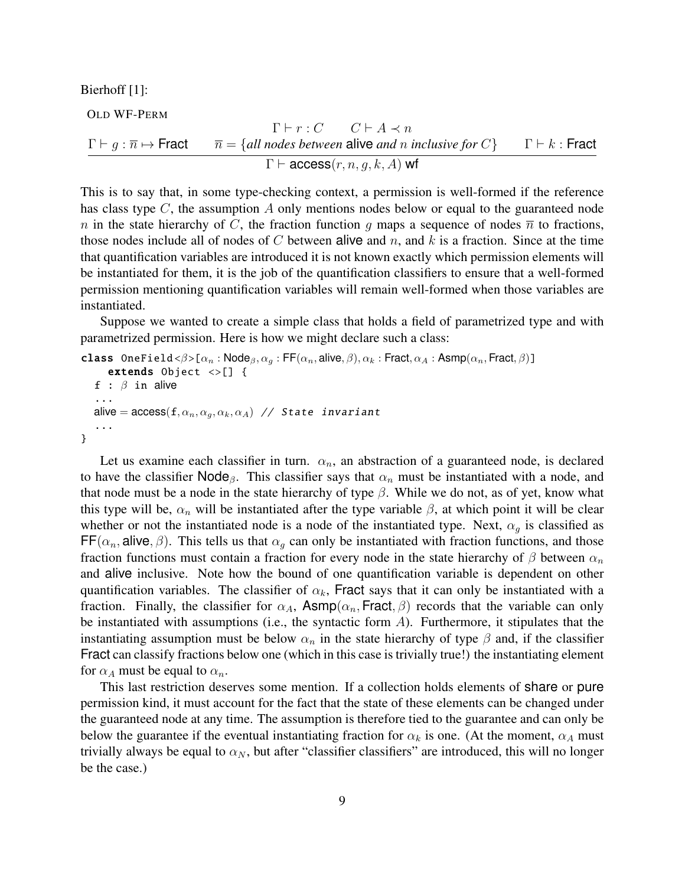Bierhoff [1]:

OLD WF-PERM

$$
\Gamma \vdash r : C \qquad C \vdash A \prec n
$$
\n
$$
\Gamma \vdash g : \overline{n} \mapsto \text{Fract} \qquad \overline{n} = \{all \, nodes \, between \, alive \, and \, n \, inclusive \, for \, C\} \qquad \Gamma \vdash k : \text{Fract}
$$
\n
$$
\Gamma \vdash \text{access}(r, n, g, k, A) \text{ wt}
$$

This is to say that, in some type-checking context, a permission is well-formed if the reference has class type *C*, the assumption *A* only mentions nodes below or equal to the guaranteed node *n* in the state hierarchy of *C*, the fraction function *g* maps a sequence of nodes  $\overline{n}$  to fractions, those nodes include all of nodes of *C* between alive and *n*, and *k* is a fraction. Since at the time that quantification variables are introduced it is not known exactly which permission elements will be instantiated for them, it is the job of the quantification classifiers to ensure that a well-formed permission mentioning quantification variables will remain well-formed when those variables are instantiated.

Suppose we wanted to create a simple class that holds a field of parametrized type and with parametrized permission. Here is how we might declare such a class:

```
class OneField <\beta>[\alpha_n : \text{Node}_{\beta}, \alpha_q : \text{FF}(\alpha_n, \text{alive}, \beta), \alpha_k : \text{Fract}, \alpha_A : \text{Asmp}(\alpha_n, \text{Fract}, \beta)]extends Object \langle \rangle [] {
    f : β in alive
     ...
    alive = \arccos(f, \alpha_n, \alpha_g, \alpha_k, \alpha_A) // State invariant
     ...
}
```
Let us examine each classifier in turn.  $\alpha_n$ , an abstraction of a guaranteed node, is declared to have the classifier Node<sub>β</sub>. This classifier says that  $\alpha_n$  must be instantiated with a node, and that node must be a node in the state hierarchy of type  $\beta$ . While we do not, as of yet, know what this type will be,  $\alpha_n$  will be instantiated after the type variable  $\beta$ , at which point it will be clear whether or not the instantiated node is a node of the instantiated type. Next,  $\alpha_g$  is classified as  $FF(\alpha_n, \text{alive}, \beta)$ . This tells us that  $\alpha_q$  can only be instantiated with fraction functions, and those fraction functions must contain a fraction for every node in the state hierarchy of *β* between *α<sup>n</sup>* and alive inclusive. Note how the bound of one quantification variable is dependent on other quantification variables. The classifier of  $\alpha_k$ , Fract says that it can only be instantiated with a fraction. Finally, the classifier for  $\alpha_A$ , Asmp $(\alpha_n,$  Fract,  $\beta)$  records that the variable can only be instantiated with assumptions (i.e., the syntactic form *A*). Furthermore, it stipulates that the instantiating assumption must be below  $\alpha_n$  in the state hierarchy of type  $\beta$  and, if the classifier Fract can classify fractions below one (which in this case is trivially true!) the instantiating element for  $\alpha_A$  must be equal to  $\alpha_n$ .

This last restriction deserves some mention. If a collection holds elements of share or pure permission kind, it must account for the fact that the state of these elements can be changed under the guaranteed node at any time. The assumption is therefore tied to the guarantee and can only be below the guarantee if the eventual instantiating fraction for  $\alpha_k$  is one. (At the moment,  $\alpha_A$  must trivially always be equal to  $\alpha_N$ , but after "classifier classifiers" are introduced, this will no longer be the case.)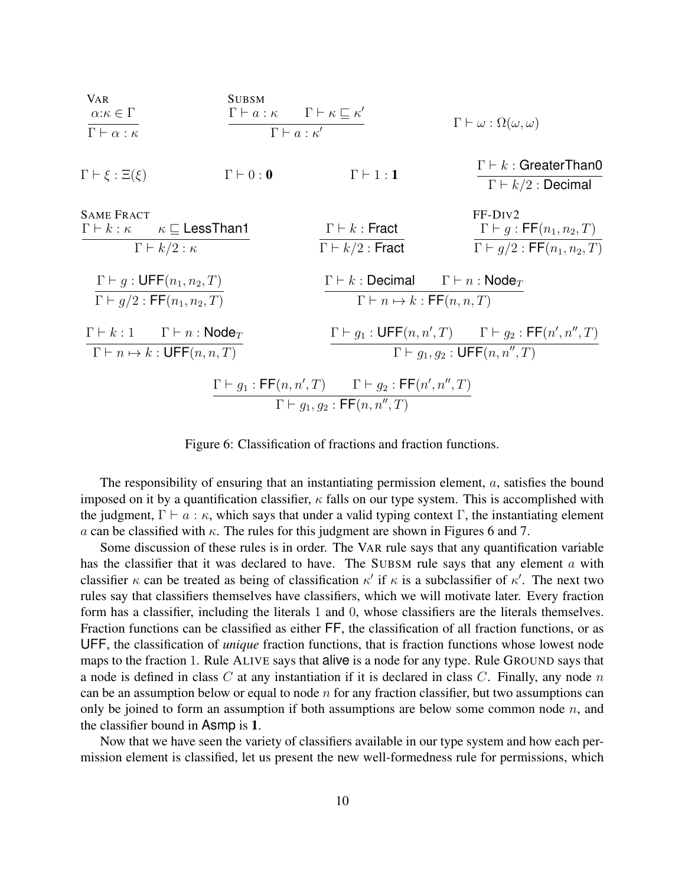

Figure 6: Classification of fractions and fraction functions.

The responsibility of ensuring that an instantiating permission element, *a*, satisfies the bound imposed on it by a quantification classifier, *κ* falls on our type system. This is accomplished with the judgment,  $\Gamma \vdash a : \kappa$ , which says that under a valid typing context  $\Gamma$ , the instantiating element *a* can be classified with *κ*. The rules for this judgment are shown in Figures 6 and 7.

Some discussion of these rules is in order. The VAR rule says that any quantification variable has the classifier that it was declared to have. The SUBSM rule says that any element *a* with classifier  $\kappa$  can be treated as being of classification  $\kappa'$  if  $\kappa$  is a subclassifier of  $\kappa'$ . The next two rules say that classifiers themselves have classifiers, which we will motivate later. Every fraction form has a classifier, including the literals 1 and 0, whose classifiers are the literals themselves. Fraction functions can be classified as either FF, the classification of all fraction functions, or as UFF, the classification of *unique* fraction functions, that is fraction functions whose lowest node maps to the fraction 1. Rule ALIVE says that alive is a node for any type. Rule GROUND says that a node is defined in class *C* at any instantiation if it is declared in class *C*. Finally, any node *n* can be an assumption below or equal to node *n* for any fraction classifier, but two assumptions can only be joined to form an assumption if both assumptions are below some common node *n*, and the classifier bound in Asmp is 1.

Now that we have seen the variety of classifiers available in our type system and how each permission element is classified, let us present the new well-formedness rule for permissions, which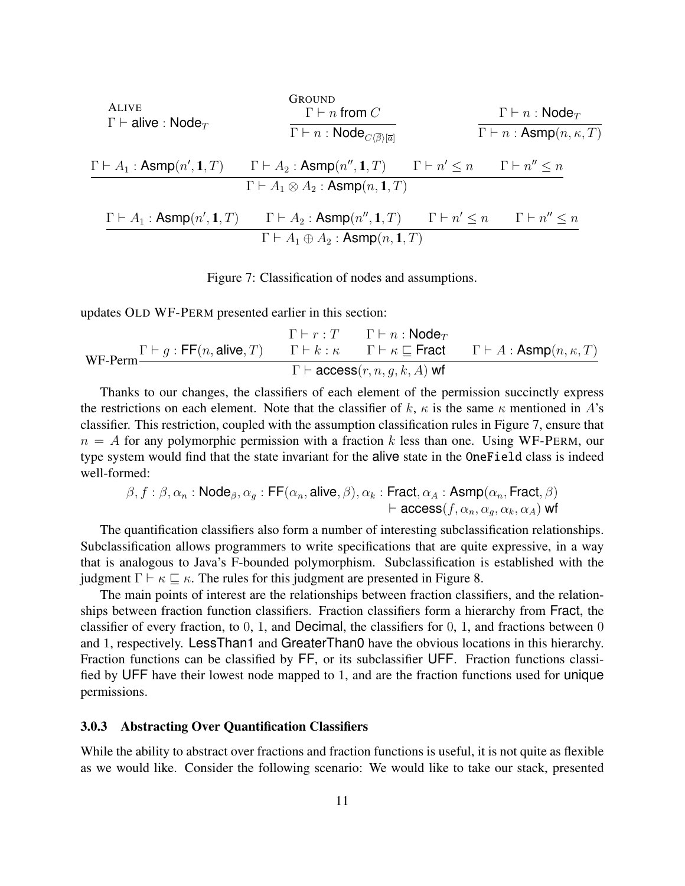| ALIVE<br>$\Gamma \vdash \text{alive : Node}_T$        | Group<br>$\Gamma \vdash n \text{ from } C$   | $\Gamma \vdash n : \text{Node}_T$ |                            |
|-------------------------------------------------------|----------------------------------------------|-----------------------------------|----------------------------|
| $\Gamma \vdash A_1 : \text{Asmp}(n', 1, T)$           | $\Gamma \vdash A_2 : \text{Asmp}(n'', 1, T)$ | $\Gamma \vdash n' \leq n$         | $\Gamma \vdash n' \leq n$  |
| $\Gamma \vdash A_1 : \text{Asmp}(n', 1, T)$           | $\Gamma \vdash A_2 : \text{Asmp}(n'', 1, T)$ | $\Gamma \vdash n' \leq n$         | $\Gamma \vdash n'' \leq n$ |
| $\Gamma \vdash A_1 : \text{Asmp}(n', 1, T)$           | $\Gamma \vdash A_2 : \text{Asmp}(n'', 1, T)$ | $\Gamma \vdash n' \leq n$         | $\Gamma \vdash n'' \leq n$ |
| $\Gamma \vdash A_1 \oplus A_2 : \text{Asmp}(n, 1, T)$ | $\Gamma \vdash n' \leq n$                    | $\Gamma \vdash n'' \leq n$        |                            |

Figure 7: Classification of nodes and assumptions.

updates OLD WF-PERM presented earlier in this section:

$$
\cfrac{\Gamma\vdash r:T\qquad \Gamma\vdash n:\textsf{Node}_T}{\textsf{WF-Perm}}\cfrac{\Gamma\vdash g:\textsf{FF}(n,\textsf{alive},T)\qquad \Gamma\vdash k:\kappa\qquad \Gamma\vdash \kappa\sqsubseteq\textsf{Fract}\qquad \Gamma\vdash A:\textsf{Asmp}(n,\kappa,T)}{\Gamma\vdash \textsf{access}(r,n,g,k,A)\;\textsf{wf}}
$$

Thanks to our changes, the classifiers of each element of the permission succinctly express the restrictions on each element. Note that the classifier of  $k$ ,  $\kappa$  is the same  $\kappa$  mentioned in *A*'s classifier. This restriction, coupled with the assumption classification rules in Figure 7, ensure that  $n = A$  for any polymorphic permission with a fraction k less than one. Using WF-PERM, our type system would find that the state invariant for the alive state in the OneField class is indeed well-formed:

$$
\beta, f: \beta, \alpha_n : \mathsf{Node}_{\beta}, \alpha_g : \mathsf{FF}(\alpha_n, \mathsf{alive}, \beta), \alpha_k : \mathsf{Fract}, \alpha_A : \mathsf{Asmp}(\alpha_n, \mathsf{Fract}, \beta) \\ \vdash \mathsf{access}(f, \alpha_n, \alpha_g, \alpha_k, \alpha_A) \mathsf{wf}
$$

The quantification classifiers also form a number of interesting subclassification relationships. Subclassification allows programmers to write specifications that are quite expressive, in a way that is analogous to Java's F-bounded polymorphism. Subclassification is established with the judgment  $\Gamma \vdash \kappa \sqsubseteq \kappa$ . The rules for this judgment are presented in Figure 8.

The main points of interest are the relationships between fraction classifiers, and the relationships between fraction function classifiers. Fraction classifiers form a hierarchy from Fract, the classifier of every fraction, to 0, 1, and Decimal, the classifiers for 0, 1, and fractions between 0 and 1, respectively. LessThan1 and GreaterThan0 have the obvious locations in this hierarchy. Fraction functions can be classified by FF, or its subclassifier UFF. Fraction functions classified by UFF have their lowest node mapped to 1, and are the fraction functions used for unique permissions.

### 3.0.3 Abstracting Over Quantification Classifiers

While the ability to abstract over fractions and fraction functions is useful, it is not quite as flexible as we would like. Consider the following scenario: We would like to take our stack, presented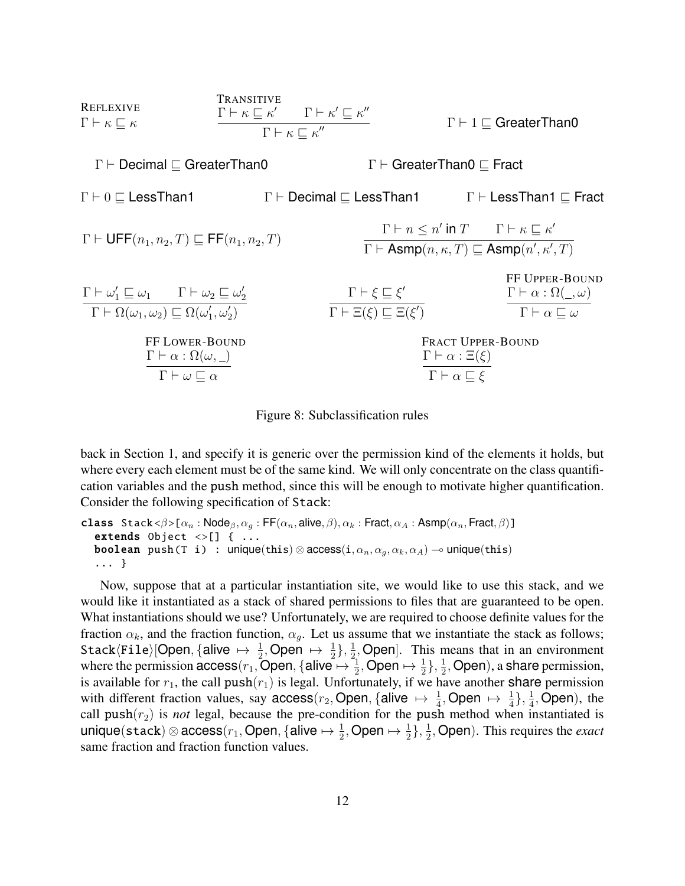

Figure 8: Subclassification rules

back in Section 1, and specify it is generic over the permission kind of the elements it holds, but where every each element must be of the same kind. We will only concentrate on the class quantification variables and the push method, since this will be enough to motivate higher quantification. Consider the following specification of Stack:

```
class Stack <\beta>[\alpha_n : \text{Node}_{\beta}, \alpha_g : \text{FF}(\alpha_n, \text{alive}, \beta), \alpha_k : \text{Fract}, \alpha_A : \text{Asmp}(\alpha_n, \text{Fract}, \beta)]extends Object \langle \rangle[] { ...
    boolean push(T i) : unique(this) \otimes access(i, \alpha_n, \alpha_q, \alpha_k, \alpha_A) \rightarrow unique(this)
    ... }
```
Now, suppose that at a particular instantiation site, we would like to use this stack, and we would like it instantiated as a stack of shared permissions to files that are guaranteed to be open. What instantiations should we use? Unfortunately, we are required to choose definite values for the fraction  $\alpha_k$ , and the fraction function,  $\alpha_q$ . Let us assume that we instantiate the stack as follows;  $\texttt{Stack}\langle \texttt{File}\rangle[\textsf{Open},\{\textsf{alive}\ \mapsto\ \frac{1}{2},\textsf{Open}\ \mapsto\ \frac{1}{2}\},\frac{1}{2}]$  $\frac{1}{2}$ , Open]. This means that in an environment where the permission  $\textsf{access}(r_1, \textsf{Open}, \{\textsf{alive} \mapsto \frac{1}{2}, \textsf{Open} \mapsto \frac{1}{2}\}, \frac{1}{2}$  $\frac{1}{2}$ , Open), a share permission, is available for  $r_1$ , the call  $push(r_1)$  is legal. Unfortunately, if we have another share permission with different fraction values, say access( $r_2$ , Open, {alive  $\mapsto \frac{1}{4}$ , Open  $\mapsto \frac{1}{4}$ },  $\frac{1}{4}$  $\frac{1}{4}$ , Open), the call  $push(r_2)$  is *not* legal, because the pre-condition for the push method when instantiated is  ${\sf unique}({\sf stack})\otimes {\sf access}(r_1,{\sf Open},\{ {\sf alive} \mapsto \frac{1}{2} ,{\sf Open} \mapsto \frac{1}{2}\},\frac{1}{2})$  $\frac{1}{2}$ , Open). This requires the *exact* same fraction and fraction function values.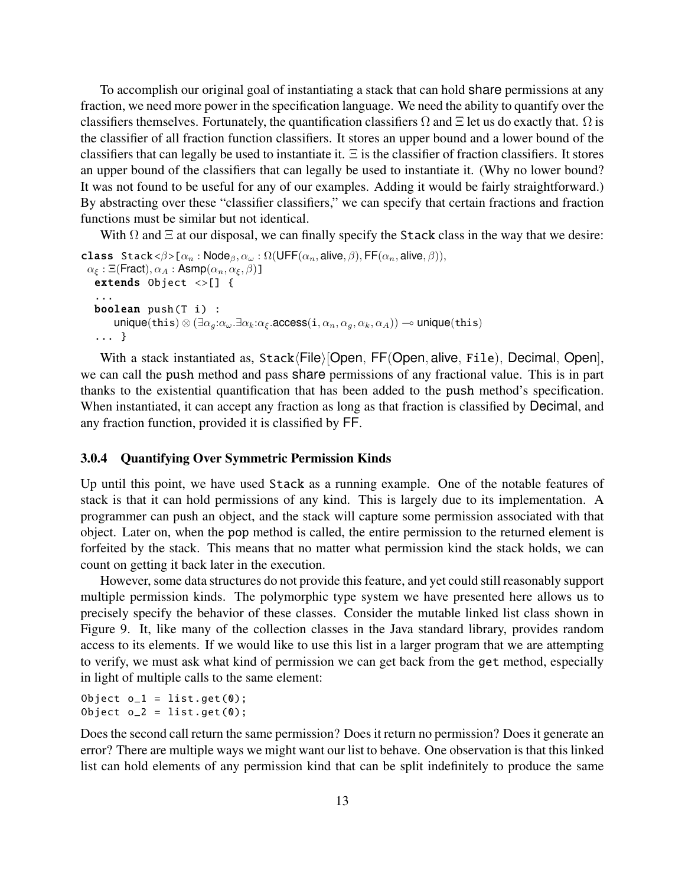To accomplish our original goal of instantiating a stack that can hold share permissions at any fraction, we need more power in the specification language. We need the ability to quantify over the classifiers themselves. Fortunately, the quantification classifiers  $\Omega$  and  $\Xi$  let us do exactly that.  $\Omega$  is the classifier of all fraction function classifiers. It stores an upper bound and a lower bound of the classifiers that can legally be used to instantiate it. Ξ is the classifier of fraction classifiers. It stores an upper bound of the classifiers that can legally be used to instantiate it. (Why no lower bound? It was not found to be useful for any of our examples. Adding it would be fairly straightforward.) By abstracting over these "classifier classifiers," we can specify that certain fractions and fraction functions must be similar but not identical.

With  $\Omega$  and  $\Xi$  at our disposal, we can finally specify the Stack class in the way that we desire:

```
class Stack <\beta>[\alpha_n : \text{Node}_{\beta}, \alpha_\omega : \Omega(\text{UFF}(\alpha_n, \text{alive}, \beta), \text{FF}(\alpha_n, \text{alive}, \beta)),\alpha_{\xi} : \Xi(Fract), \alpha_A : Asmp(\alpha_n, \alpha_{\xi}, \beta)]
    extends Object <>[] {
     ...
    boolean push(T i) :
            \nuunique(this) \otimes (\exists \alpha_g : \alpha_\omega \cdot \exists \alpha_k : \alpha_\xi \cdot \text{access}(i, \alpha_n, \alpha_g, \alpha_k, \alpha_A)) \rightarrow unique(this)
     ... }
```
With a stack instantiated as, Stack*⟨*File*⟩*[Open*,* FF(Open*,* alive*,* File)*,* Decimal*,* Open], we can call the push method and pass share permissions of any fractional value. This is in part thanks to the existential quantification that has been added to the push method's specification. When instantiated, it can accept any fraction as long as that fraction is classified by Decimal, and any fraction function, provided it is classified by FF.

### 3.0.4 Quantifying Over Symmetric Permission Kinds

Up until this point, we have used Stack as a running example. One of the notable features of stack is that it can hold permissions of any kind. This is largely due to its implementation. A programmer can push an object, and the stack will capture some permission associated with that object. Later on, when the pop method is called, the entire permission to the returned element is forfeited by the stack. This means that no matter what permission kind the stack holds, we can count on getting it back later in the execution.

However, some data structures do not provide this feature, and yet could still reasonably support multiple permission kinds. The polymorphic type system we have presented here allows us to precisely specify the behavior of these classes. Consider the mutable linked list class shown in Figure 9. It, like many of the collection classes in the Java standard library, provides random access to its elements. If we would like to use this list in a larger program that we are attempting to verify, we must ask what kind of permission we can get back from the get method, especially in light of multiple calls to the same element:

Object  $o_1 = list.get(0);$ Object  $o_2 = list.get(0);$ 

Does the second call return the same permission? Does it return no permission? Does it generate an error? There are multiple ways we might want our list to behave. One observation is that this linked list can hold elements of any permission kind that can be split indefinitely to produce the same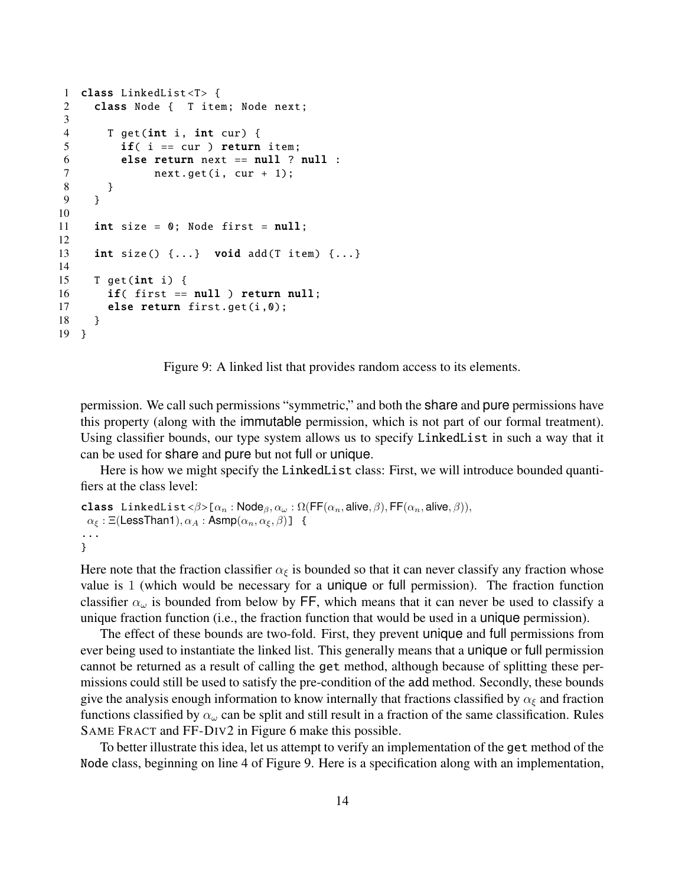```
1 class LinkedList <T> {
2 class Node { T item; Node next;
3
4 T get(int i, int cur) {
5 if( i == cur ) return item;
6 else return next == null ? null :
7 next.get(i, cur + 1);
8 }
9 }
10
11 int size = 0; Node first = null;
12
13 int size() \{ \ldots \} void add(T item) \{ \ldots \}14
15 T get(int i) \{16 if( first == null ) return null;
17 else return first.get(i,0);
18 }
19 }
```


permission. We call such permissions "symmetric," and both the share and pure permissions have this property (along with the immutable permission, which is not part of our formal treatment). Using classifier bounds, our type system allows us to specify LinkedList in such a way that it can be used for share and pure but not full or unique.

Here is how we might specify the LinkedList class: First, we will introduce bounded quantifiers at the class level:

```
class LinkedList \langle \beta \rangle[\alpha_n : Node<sub>β</sub>, \alpha_\omega : \Omega(FF(\alpha_n, alive, \beta), FF(\alpha_n, alive, \beta)),
  \alpha_{\xi} : \Xi(LessThan1), \alpha_A : \mathsf{Asmp}(\alpha_n, \alpha_{\xi}, \beta)] {
...
}
```
Here note that the fraction classifier  $\alpha_{\xi}$  is bounded so that it can never classify any fraction whose value is 1 (which would be necessary for a unique or full permission). The fraction function classifier  $\alpha_\omega$  is bounded from below by FF, which means that it can never be used to classify a unique fraction function (i.e., the fraction function that would be used in a unique permission).

The effect of these bounds are two-fold. First, they prevent unique and full permissions from ever being used to instantiate the linked list. This generally means that a unique or full permission cannot be returned as a result of calling the get method, although because of splitting these permissions could still be used to satisfy the pre-condition of the add method. Secondly, these bounds give the analysis enough information to know internally that fractions classified by  $\alpha_{\xi}$  and fraction functions classified by *α<sup>ω</sup>* can be split and still result in a fraction of the same classification. Rules SAME FRACT and FF-DIV2 in Figure 6 make this possible.

To better illustrate this idea, let us attempt to verify an implementation of the get method of the Node class, beginning on line 4 of Figure 9. Here is a specification along with an implementation,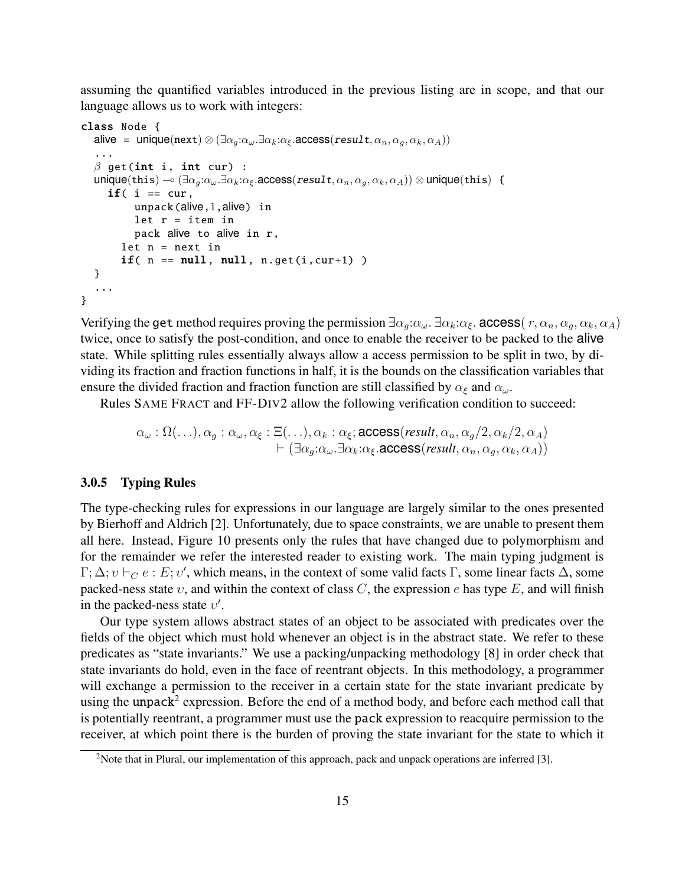assuming the quantified variables introduced in the previous listing are in scope, and that our language allows us to work with integers:

```
class Node {
    \text{alive} = \text{unique}(\text{next}) \otimes (\exists \alpha_a : \alpha_{\omega} \cdot \exists \alpha_k : \alpha_{\xi} \cdot \text{access}(\text{result}, \alpha_n, \alpha_a, \alpha_k, \alpha_A))...
    β get(int i, int cur) :
    unique(this) \sim (\exists \alpha_a : \alpha_{\omega} \cdot \exists \alpha_k : \alpha_{\xi} \cdot \text{access}(\text{result}, \alpha_n, \alpha_a, \alpha_k, \alpha_A)) \otimes \text{unique}(\text{this}) {
        if( i == cur, ...)unpack(alive,1,alive) in
                let r = item inpack alive to alive in r,
            let n = next inif( n == null, null, n.get(i, cur+1) )}
    ...
}
```
Verifying the get method requires proving the permission  $\exists \alpha_a : \alpha_{\omega} \ldotp \exists \alpha_k : \alpha_{\xi} \ldotp \alpha_{\xi} \ldotp \alpha_{\eta} \ldotp \alpha_a, \alpha_k, \alpha_k, \alpha_A)$ twice, once to satisfy the post-condition, and once to enable the receiver to be packed to the alive state. While splitting rules essentially always allow a access permission to be split in two, by dividing its fraction and fraction functions in half, it is the bounds on the classification variables that ensure the divided fraction and fraction function are still classified by  $\alpha_{\xi}$  and  $\alpha_{\omega}$ .

Rules SAME FRACT and FF-DIV2 allow the following verification condition to succeed:

$$
\alpha_{\omega} : \Omega(\ldots), \alpha_g : \alpha_{\omega}, \alpha_{\xi} : \Xi(\ldots), \alpha_k : \alpha_{\xi}; \text{access}(result, \alpha_n, \alpha_g/2, \alpha_k/2, \alpha_A) \\
 \quad + (\exists \alpha_g : \alpha_{\omega} . \exists \alpha_k : \alpha_{\xi}. \text{access}(result, \alpha_n, \alpha_g, \alpha_k, \alpha_A))
$$

#### 3.0.5 Typing Rules

The type-checking rules for expressions in our language are largely similar to the ones presented by Bierhoff and Aldrich [2]. Unfortunately, due to space constraints, we are unable to present them all here. Instead, Figure 10 presents only the rules that have changed due to polymorphism and for the remainder we refer the interested reader to existing work. The main typing judgment is  $Γ; Δ; υ ⊢<sub>C</sub> e : E; υ'$ , which means, in the context of some valid facts Γ, some linear facts Δ, some packed-ness state *υ*, and within the context of class *C*, the expression *e* has type *E*, and will finish in the packed-ness state *υ ′* .

Our type system allows abstract states of an object to be associated with predicates over the fields of the object which must hold whenever an object is in the abstract state. We refer to these predicates as "state invariants." We use a packing/unpacking methodology [8] in order check that state invariants do hold, even in the face of reentrant objects. In this methodology, a programmer will exchange a permission to the receiver in a certain state for the state invariant predicate by using the unpack<sup>2</sup> expression. Before the end of a method body, and before each method call that is potentially reentrant, a programmer must use the pack expression to reacquire permission to the receiver, at which point there is the burden of proving the state invariant for the state to which it

<sup>&</sup>lt;sup>2</sup>Note that in Plural, our implementation of this approach, pack and unpack operations are inferred [3].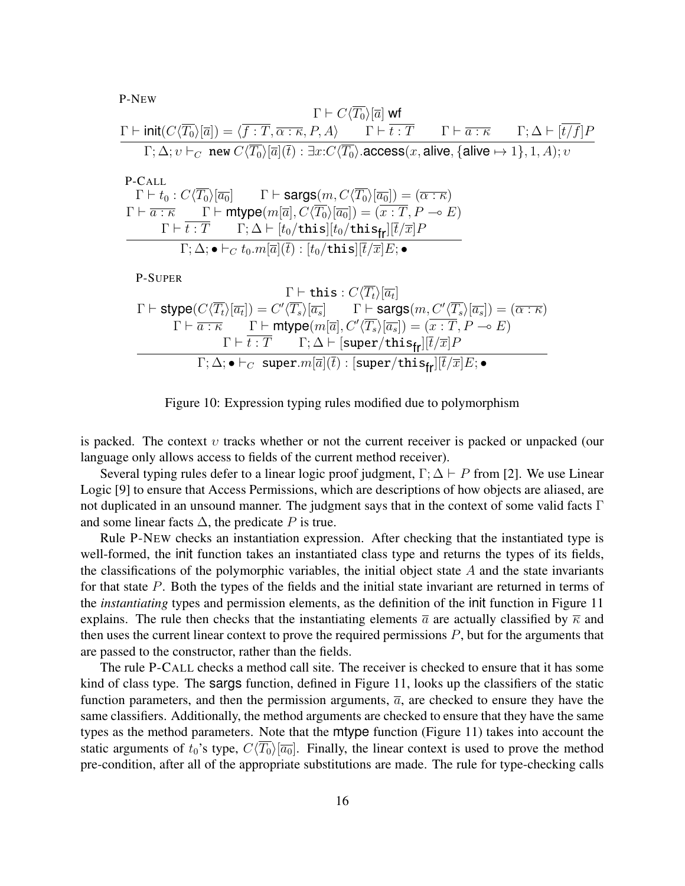P-NEW

$$
\frac{\Gamma \vdash C\langle T_0 \rangle[\overline{a}] \text{ wt}}{\Gamma; \Delta; v \vdash_C \text{ new } C\langle \overline{T_0} \rangle[\overline{a}](\overline{t}) : \exists x: C\langle \overline{T_0} \rangle[\overline{a}(\overline{t}) : \exists x: C\langle T_0 \rangle[\overline{a}(\overline{t}) : \Delta t \rangle] \text{ access}(x, \text{alive}, \{\text{alive} \mapsto 1\}, 1, A); v}
$$

P-CALL  
\n
$$
\Gamma \vdash t_0 : C \langle \overline{T_0} \rangle [\overline{a_0}] \qquad \Gamma \vdash \text{sargs}(m, C \langle \overline{T_0} \rangle [\overline{a_0}]) = (\overline{\alpha : \kappa})
$$
\n
$$
\Gamma \vdash \overline{a : \kappa} \qquad \Gamma \vdash \text{mtype}(m[\overline{a}], C \langle \overline{T_0} \rangle [\overline{a_0}]) = (\overline{x : T}, P \multimap E)
$$
\n
$$
\overline{\Gamma \vdash t : T} \qquad \Gamma; \Delta \vdash [t_0/\text{this}][t_0/\text{this}]\overline{t}/\overline{x}]P
$$
\n
$$
\Gamma; \Delta; \bullet \vdash_C t_0.m[\overline{a}](\overline{t}) : [t_0/\text{this}][\overline{t}/\overline{x}]E; \bullet
$$
\nP-SUPER  
\n
$$
\Gamma \vdash \text{this} : C \langle \overline{T_t} \rangle [\overline{a_t}]
$$
\n
$$
\Gamma \vdash \text{stype}(C \langle \overline{T_t} \rangle [\overline{a_t}]) = C' \langle \overline{T_s} \rangle [\overline{a_s}] \qquad \Gamma \vdash \text{sargs}(m, C' \langle \overline{T_s} \rangle [\overline{a_s}]) = (\overline{\alpha : \kappa})
$$
\n
$$
\Gamma \vdash \overline{a : \kappa} \qquad \Gamma \vdash \text{mtype}(m[\overline{a}], C' \langle \overline{T_s} \rangle [\overline{a_s}]) = (\overline{x : T}, P \multimap E)
$$
\n
$$
\Gamma \vdash \overline{t : T} \qquad \Gamma; \Delta \vdash [\text{super/this}_{\text{fr}}][\overline{t}/\overline{x}]P
$$
\n
$$
\Gamma; \Delta; \bullet \vdash_C \text{ super.} m[\overline{a}](\overline{t}) : [\text{super/this}_{\text{fr}}][\overline{t}/\overline{x}]E; \bullet
$$

Figure 10: Expression typing rules modified due to polymorphism

is packed. The context *υ* tracks whether or not the current receiver is packed or unpacked (our language only allows access to fields of the current method receiver).

Several typing rules defer to a linear logic proof judgment,  $\Gamma$ ;  $\Delta \vdash P$  from [2]. We use Linear Logic [9] to ensure that Access Permissions, which are descriptions of how objects are aliased, are not duplicated in an unsound manner. The judgment says that in the context of some valid facts Γ and some linear facts  $\Delta$ , the predicate *P* is true.

Rule P-NEW checks an instantiation expression. After checking that the instantiated type is well-formed, the init function takes an instantiated class type and returns the types of its fields, the classifications of the polymorphic variables, the initial object state *A* and the state invariants for that state *P*. Both the types of the fields and the initial state invariant are returned in terms of the *instantiating* types and permission elements, as the definition of the init function in Figure 11 explains. The rule then checks that the instantiating elements  $\bar{a}$  are actually classified by  $\bar{\kappa}$  and then uses the current linear context to prove the required permissions *P*, but for the arguments that are passed to the constructor, rather than the fields.

The rule P-CALL checks a method call site. The receiver is checked to ensure that it has some kind of class type. The sargs function, defined in Figure 11, looks up the classifiers of the static function parameters, and then the permission arguments,  $\bar{a}$ , are checked to ensure they have the same classifiers. Additionally, the method arguments are checked to ensure that they have the same types as the method parameters. Note that the mtype function (Figure 11) takes into account the static arguments of  $t_0$ 's type,  $C\langle \overline{T_0} \rangle [\overline{a_0}]$ . Finally, the linear context is used to prove the method pre-condition, after all of the appropriate substitutions are made. The rule for type-checking calls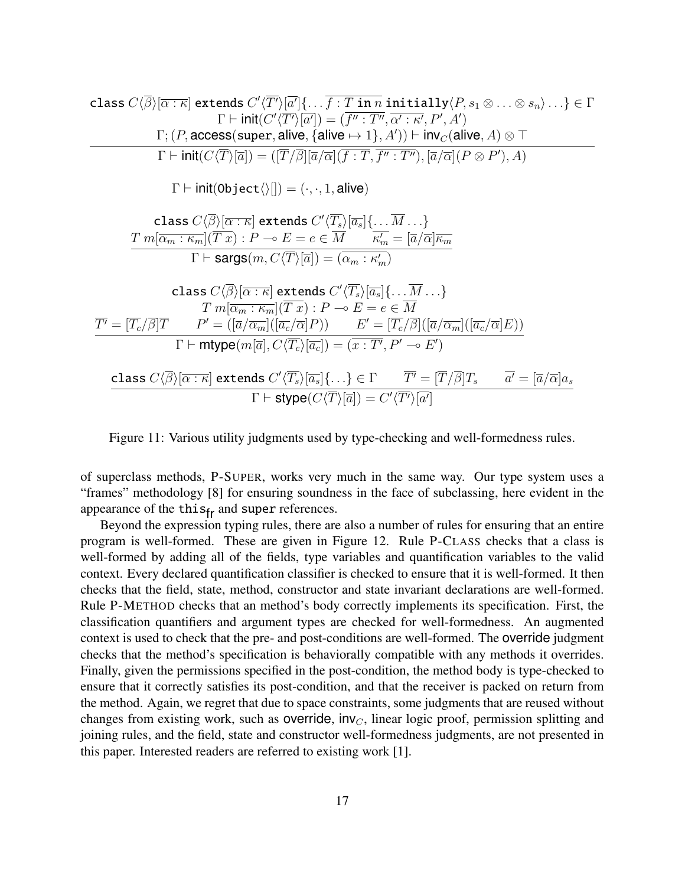class 
$$
C\langle\overline{\beta}\rangle[\overline{\alpha:\kappa}]
$$
 extends  $C'\langle\overline{T'}\rangle[\overline{\alpha'}]\{\ldots\overline{f:\overline{T:\mathbf{in}\,n}\mathbf{initually}}\langle P,s_1\otimes\ldots\otimes s_n\rangle\ldots\}\in\Gamma$   
\n $\Gamma\vdash init(C'\langle\overline{T'}\rangle[\overline{\alpha'}]) = (\overline{f'':\overline{T''},\alpha':\kappa',P',A'})$   
\n $\Gamma\vdash init(C\langle\overline{T}\rangle[\overline{\alpha}]) = (\overline{[T/\beta]}[\overline{\alpha}\langle\overline{\alpha}](\overline{f:\overline{T},\overline{f'':\overline{T''}}),[\overline{\alpha}\langle\overline{\alpha}](P\otimes P'),A})$   
\n $\Gamma\vdash init(C\langle\overline{T}\rangle[\overline{\alpha}]) = (\overline{[T/\beta]}[\overline{\alpha}\langle\overline{\alpha}](\overline{f:\overline{T},\overline{f'':\overline{T''}}),[\overline{\alpha}\langle\overline{\alpha}](P\otimes P'),A})$   
\n $\Gamma\vdash init(\text{Object}\langle\rangle[]) = (\cdot,\cdot,1,\text{alive})$   
\n $\frac{\text{class } C\langle\overline{\beta}\rangle[\overline{\alpha:\kappa}]\text{ extends } C'\langle\overline{T_s}\rangle[\overline{a_s}]\{\ldots\overline{M}\ldots\}}{\Gamma\vdash \text{sargs}(m,\overline{C}\langle\overline{T}\rangle[\overline{\alpha}] ) = (\alpha_m:\kappa_m')}$   
\n $\frac{\text{class } C\langle\overline{\beta}\rangle[\overline{\alpha:\kappa]}\text{ extends } C'\langle\overline{T_s}\rangle[\overline{a_s}]\{\ldots\overline{M}\ldots\}$   
\n $\frac{T'}{m[\overline{\alpha_m:\kappa_m}](\overline{T}x):\overline{P}\to E=e\in\overline{M}$   
\n $\frac{T'}{m[\overline{\alpha_m:\kappa_m}](\overline{T}x):\overline{P}\to E=e\in\overline{M}$   
\n $\frac{T'}{m[\overline{\alpha_m:\kappa_m}](\overline{T}x):\overline{P}\to E'=[\overline{T_c}/\beta][(\overline{\alpha}\langle\overline{\alpha_m}][(\overline{\alpha_c}/\overline{\alpha}])]$   
\n $\frac{T'}{m[\overline{\alpha_m:\$ 

Figure 11: Various utility judgments used by type-checking and well-formedness rules.

of superclass methods, P-SUPER, works very much in the same way. Our type system uses a "frames" methodology [8] for ensuring soundness in the face of subclassing, here evident in the appearance of the  $this_{fr}$  and super references.

Beyond the expression typing rules, there are also a number of rules for ensuring that an entire program is well-formed. These are given in Figure 12. Rule P-CLASS checks that a class is well-formed by adding all of the fields, type variables and quantification variables to the valid context. Every declared quantification classifier is checked to ensure that it is well-formed. It then checks that the field, state, method, constructor and state invariant declarations are well-formed. Rule P-METHOD checks that an method's body correctly implements its specification. First, the classification quantifiers and argument types are checked for well-formedness. An augmented context is used to check that the pre- and post-conditions are well-formed. The override judgment checks that the method's specification is behaviorally compatible with any methods it overrides. Finally, given the permissions specified in the post-condition, the method body is type-checked to ensure that it correctly satisfies its post-condition, and that the receiver is packed on return from the method. Again, we regret that due to space constraints, some judgments that are reused without changes from existing work, such as **override**,  $inv<sub>C</sub>$ , linear logic proof, permission splitting and joining rules, and the field, state and constructor well-formedness judgments, are not presented in this paper. Interested readers are referred to existing work [1].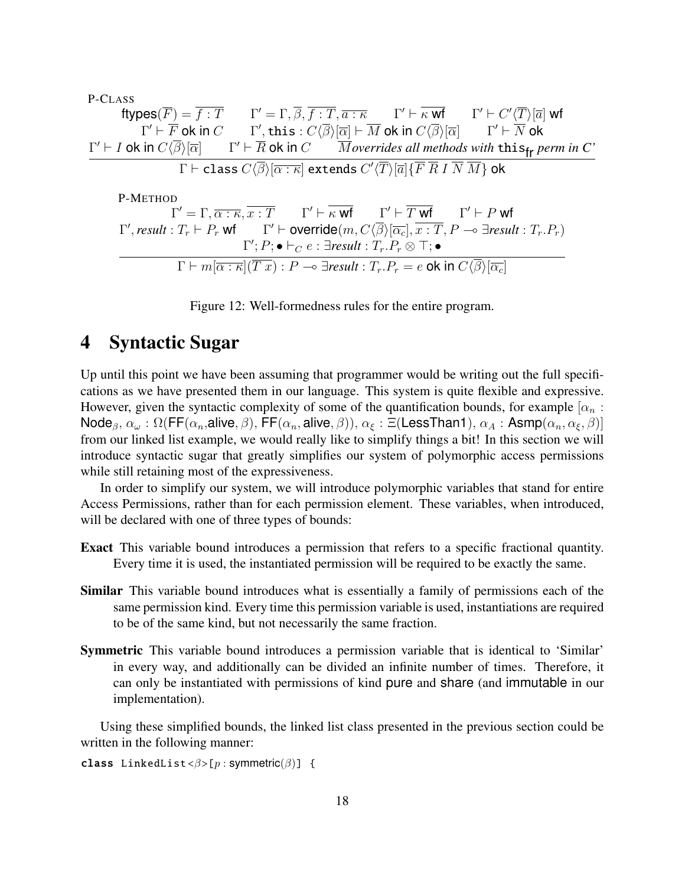P-CLASS  
\n
$$
\text{ftypes}(\overline{F}) = \overline{f} : \overline{T} \qquad \Gamma' = \Gamma, \overline{\beta}, \overline{f} : \overline{T}, \overline{a} : \overline{\kappa} \qquad \Gamma' \vdash \overline{\kappa} \text{ wt} \qquad \Gamma' \vdash C' \langle \overline{T} \rangle[\overline{a}] \text{ wt}
$$
\n
$$
\Gamma' \vdash \overline{F} \text{ ok in } C \qquad \Gamma', \text{ this} : C \langle \overline{\beta} \rangle[\overline{\alpha}] \vdash \overline{M} \text{ ok in } C \langle \overline{\beta} \rangle[\overline{\alpha}] \qquad \Gamma' \vdash \overline{N} \text{ ok}
$$
\n
$$
\Gamma' \vdash I \text{ ok in } C \langle \overline{\beta} \rangle[\overline{\alpha}] \qquad \Gamma' \vdash \overline{R} \text{ ok in } C \qquad \overline{M} \text{overrides all methods with this}_{\text{fr}} \text{perm in } C'
$$
\n
$$
\Gamma \vdash \text{class } C \langle \overline{\beta} \rangle[\overline{\alpha} : \overline{\kappa}] \text{ extends } C' \langle \overline{T} \rangle[\overline{a}] \{ \overline{F} \overline{R} \text{ I } \overline{N} \overline{M} \} \text{ ok}
$$
\n
$$
\text{P-METHOD}
$$
\n
$$
\Gamma' = \Gamma, \overline{\alpha : \kappa}, \overline{x : T} \qquad \Gamma' \vdash \overline{\kappa} \text{ wt} \qquad \Gamma' \vdash \overline{T} \text{ wt} \qquad \Gamma' \vdash P \text{ wt}
$$
\n
$$
\Gamma', \text{result} : T_r \vdash P_r \text{ wt} \qquad \Gamma' \vdash \text{override}(m, C \langle \overline{\beta} \rangle[\overline{\alpha_c}], \overline{x : T}, P \multimap \exists \text{result} : T_r.P_r)
$$
\n
$$
\Gamma'; P; \bullet \vdash_C e : \exists \text{result} : T_r.P_r \otimes \top; \bullet
$$
\n
$$
\Gamma \vdash m[\overline{\alpha : \kappa}](\overline{T} \text{ x}) : P \multimap \exists \text{result} : T_r.P_r = e \text{ ok in } C \langle \overline{\beta} \rangle[\overline{\alpha_c}]
$$

Figure 12: Well-formedness rules for the entire program.

# 4 Syntactic Sugar

Up until this point we have been assuming that programmer would be writing out the full specifications as we have presented them in our language. This system is quite flexible and expressive. However, given the syntactic complexity of some of the quantification bounds, for example  $\alpha_n$ : Node<sub>B</sub>,  $\alpha_\omega : \Omega(\mathsf{FF}(\alpha_n, \mathsf{alive}, \beta), \mathsf{FF}(\alpha_n, \mathsf{alive}, \beta)), \alpha_\xi : \Xi(\mathsf{LessThan1}), \alpha_A : \mathsf{Asmp}(\alpha_n, \alpha_\xi, \beta)]$ from our linked list example, we would really like to simplify things a bit! In this section we will introduce syntactic sugar that greatly simplifies our system of polymorphic access permissions while still retaining most of the expressiveness.

In order to simplify our system, we will introduce polymorphic variables that stand for entire Access Permissions, rather than for each permission element. These variables, when introduced, will be declared with one of three types of bounds:

- Exact This variable bound introduces a permission that refers to a specific fractional quantity. Every time it is used, the instantiated permission will be required to be exactly the same.
- Similar This variable bound introduces what is essentially a family of permissions each of the same permission kind. Every time this permission variable is used, instantiations are required to be of the same kind, but not necessarily the same fraction.
- Symmetric This variable bound introduces a permission variable that is identical to 'Similar' in every way, and additionally can be divided an infinite number of times. Therefore, it can only be instantiated with permissions of kind pure and share (and immutable in our implementation).

Using these simplified bounds, the linked list class presented in the previous section could be written in the following manner:

```
class LinkedList <β>[p : symmetric(β)] {
```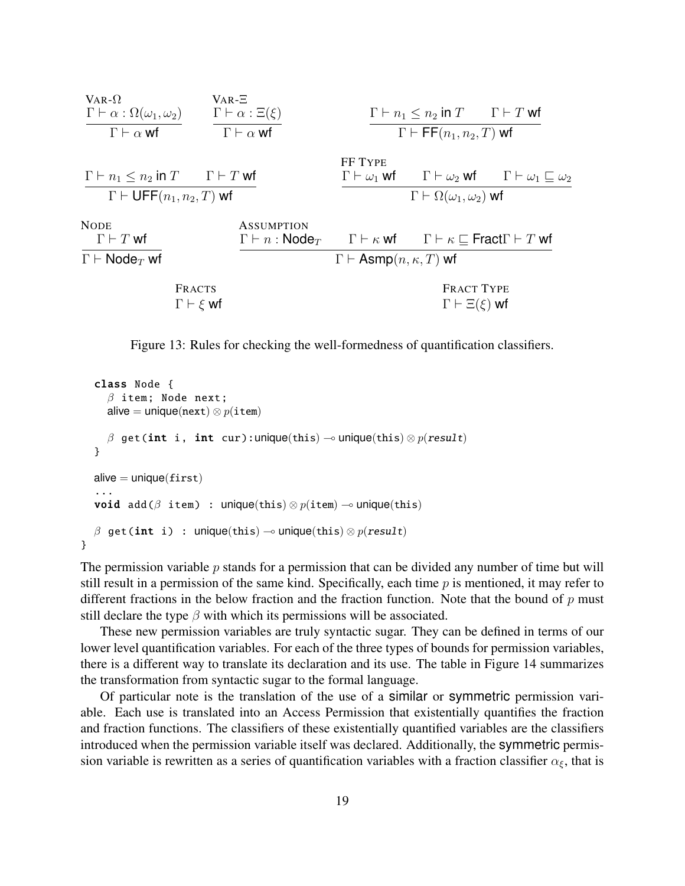

Figure 13: Rules for checking the well-formedness of quantification classifiers.

```
class Node {
   β item; Node next;
  alive = unique(next) \otimes p(item)
  \beta get(int i, int cur):unique(this) \rightarrow unique(this) \otimes p(result)
}
alive = unique(first)...
void add(\beta item) : unique(this) \otimes p(item) \multimap unique(this)
\beta get(int i) : unique(this) \rightarrow unique(this) \otimes p(result)
```
}

The permission variable *p* stands for a permission that can be divided any number of time but will still result in a permission of the same kind. Specifically, each time *p* is mentioned, it may refer to different fractions in the below fraction and the fraction function. Note that the bound of *p* must still declare the type  $\beta$  with which its permissions will be associated.

These new permission variables are truly syntactic sugar. They can be defined in terms of our lower level quantification variables. For each of the three types of bounds for permission variables, there is a different way to translate its declaration and its use. The table in Figure 14 summarizes the transformation from syntactic sugar to the formal language.

Of particular note is the translation of the use of a similar or symmetric permission variable. Each use is translated into an Access Permission that existentially quantifies the fraction and fraction functions. The classifiers of these existentially quantified variables are the classifiers introduced when the permission variable itself was declared. Additionally, the symmetric permission variable is rewritten as a series of quantification variables with a fraction classifier  $\alpha_{\xi}$ , that is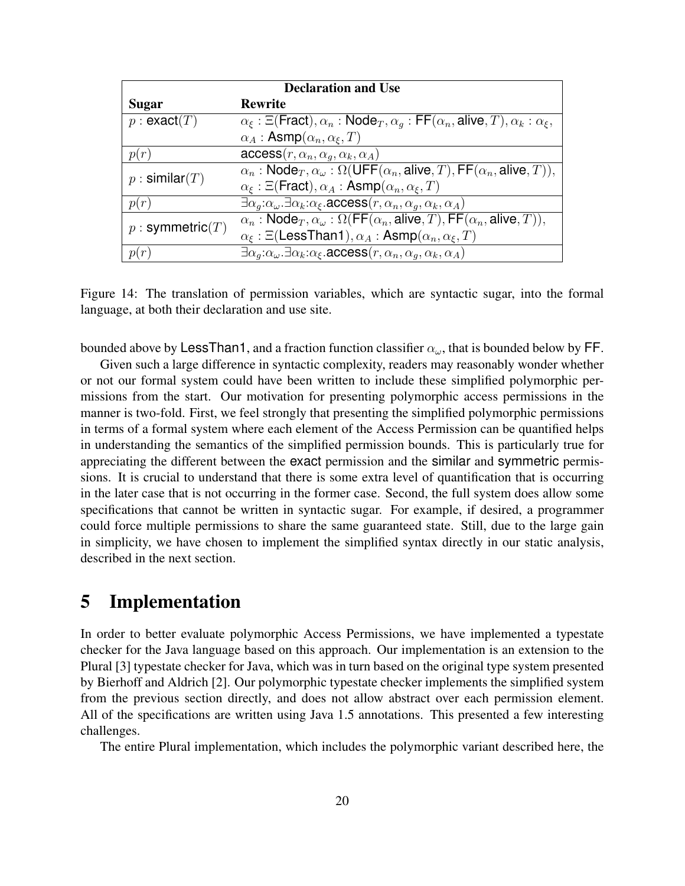| <b>Declaration and Use</b> |                                                                                                                                          |  |
|----------------------------|------------------------------------------------------------------------------------------------------------------------------------------|--|
| Sugar                      | <b>Rewrite</b>                                                                                                                           |  |
| p : exact(T)               | $\alpha_{\xi}$ : $\Xi$ (Fract), $\alpha_n$ : Node <sub>T</sub> , $\alpha_q$ : FF( $\alpha_n$ , alive, T), $\alpha_k$ : $\alpha_{\xi}$ ,  |  |
|                            | $\alpha_A$ : Asmp $(\alpha_n, \alpha_{\xi}, T)$                                                                                          |  |
|                            | $\mathsf{access}(r, \alpha_n, \alpha_q, \alpha_k, \alpha_A)$                                                                             |  |
| $p :$ similar $(T)$        | $\alpha_n$ : Node $_T$ , $\alpha_\omega$ : $\Omega$ (UFF( $\alpha_n$ , alive, T), FF( $\alpha_n$ , alive, T)),                           |  |
|                            | $\alpha_{\xi}$ : $\Xi$ (Fract), $\alpha_A$ : Asmp $(\alpha_n, \alpha_{\xi}, T)$                                                          |  |
| p(r)                       | $\exists \alpha_a:\alpha_\omega \ldotp \exists \alpha_k:\alpha_\xi \ldotp \mathsf{access}(r,\alpha_n,\alpha_q,\alpha_k,\alpha_A)$        |  |
| $p :$ symmetric $(T)$      | $\alpha_n$ : Node $_T$ , $\alpha_\omega$ : $\Omega(\mathsf{FF}(\alpha_n, \mathsf{alive}, T), \mathsf{FF}(\alpha_n, \mathsf{alive}, T)),$ |  |
|                            | $\alpha_{\xi}$ : $\Xi$ (LessThan1), $\alpha_A$ : Asmp $(\alpha_n, \alpha_{\xi}, T)$                                                      |  |
|                            | $\exists \alpha_a:\alpha_\omega \ldotp \exists \alpha_k:\alpha_\xi \ldotp \mathsf{access}(r,\alpha_n,\alpha_q,\alpha_k,\alpha_A)$        |  |

Figure 14: The translation of permission variables, which are syntactic sugar, into the formal language, at both their declaration and use site.

bounded above by LessThan1, and a fraction function classifier *αω*, that is bounded below by FF.

Given such a large difference in syntactic complexity, readers may reasonably wonder whether or not our formal system could have been written to include these simplified polymorphic permissions from the start. Our motivation for presenting polymorphic access permissions in the manner is two-fold. First, we feel strongly that presenting the simplified polymorphic permissions in terms of a formal system where each element of the Access Permission can be quantified helps in understanding the semantics of the simplified permission bounds. This is particularly true for appreciating the different between the exact permission and the similar and symmetric permissions. It is crucial to understand that there is some extra level of quantification that is occurring in the later case that is not occurring in the former case. Second, the full system does allow some specifications that cannot be written in syntactic sugar. For example, if desired, a programmer could force multiple permissions to share the same guaranteed state. Still, due to the large gain in simplicity, we have chosen to implement the simplified syntax directly in our static analysis, described in the next section.

### 5 Implementation

In order to better evaluate polymorphic Access Permissions, we have implemented a typestate checker for the Java language based on this approach. Our implementation is an extension to the Plural [3] typestate checker for Java, which was in turn based on the original type system presented by Bierhoff and Aldrich [2]. Our polymorphic typestate checker implements the simplified system from the previous section directly, and does not allow abstract over each permission element. All of the specifications are written using Java 1.5 annotations. This presented a few interesting challenges.

The entire Plural implementation, which includes the polymorphic variant described here, the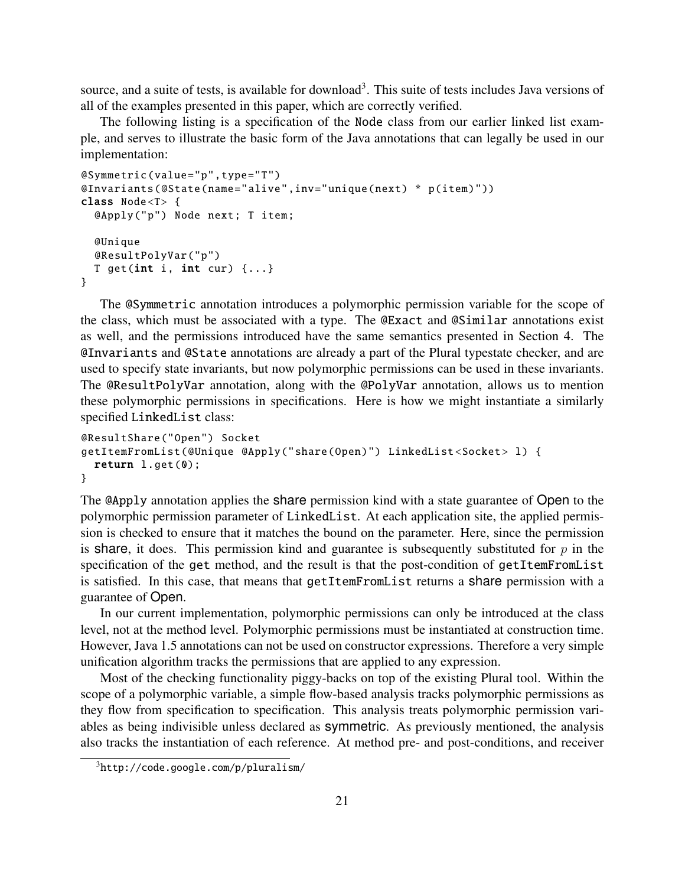source, and a suite of tests, is available for download<sup>3</sup>. This suite of tests includes Java versions of all of the examples presented in this paper, which are correctly verified.

The following listing is a specification of the Node class from our earlier linked list example, and serves to illustrate the basic form of the Java annotations that can legally be used in our implementation:

```
@Symmetric (value="p",type="T")
@Invariants (@State(name="alive",inv="unique(next) * p(item)"))
class Node <T> {
  @Apply("p") Node next; T item;
  @Unique
  @ResultPolyVar ("p")
  T get(int i, int cur) \{ \ldots \}}
```
The @Symmetric annotation introduces a polymorphic permission variable for the scope of the class, which must be associated with a type. The @Exact and @Similar annotations exist as well, and the permissions introduced have the same semantics presented in Section 4. The @Invariants and @State annotations are already a part of the Plural typestate checker, and are used to specify state invariants, but now polymorphic permissions can be used in these invariants. The @ResultPolyVar annotation, along with the @PolyVar annotation, allows us to mention these polymorphic permissions in specifications. Here is how we might instantiate a similarly specified LinkedList class:

```
@ResultShare ("Open") Socket
getItemFromList (@Unique @Apply("share(Open)") LinkedList <Socket > l) {
 return l.get(0);}
```
The @Apply annotation applies the share permission kind with a state guarantee of Open to the polymorphic permission parameter of LinkedList. At each application site, the applied permission is checked to ensure that it matches the bound on the parameter. Here, since the permission is share, it does. This permission kind and guarantee is subsequently substituted for  $p$  in the specification of the get method, and the result is that the post-condition of getItemFromList is satisfied. In this case, that means that getItemFromList returns a share permission with a guarantee of Open.

In our current implementation, polymorphic permissions can only be introduced at the class level, not at the method level. Polymorphic permissions must be instantiated at construction time. However, Java 1.5 annotations can not be used on constructor expressions. Therefore a very simple unification algorithm tracks the permissions that are applied to any expression.

Most of the checking functionality piggy-backs on top of the existing Plural tool. Within the scope of a polymorphic variable, a simple flow-based analysis tracks polymorphic permissions as they flow from specification to specification. This analysis treats polymorphic permission variables as being indivisible unless declared as symmetric. As previously mentioned, the analysis also tracks the instantiation of each reference. At method pre- and post-conditions, and receiver

 $3$ http://code.google.com/p/pluralism/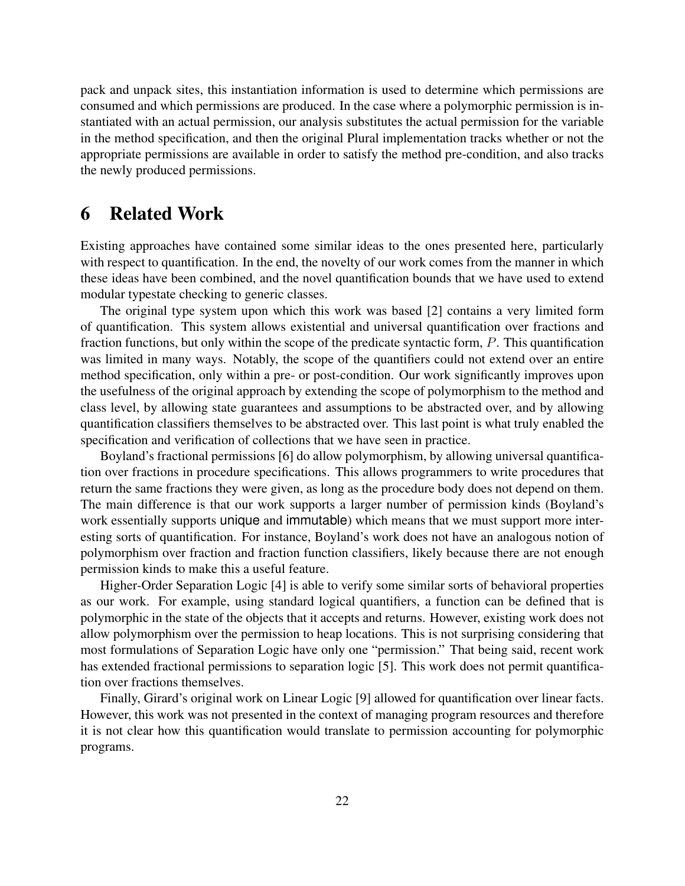pack and unpack sites, this instantiation information is used to determine which permissions are consumed and which permissions are produced. In the case where a polymorphic permission is instantiated with an actual permission, our analysis substitutes the actual permission for the variable in the method specification, and then the original Plural implementation tracks whether or not the appropriate permissions are available in order to satisfy the method pre-condition, and also tracks the newly produced permissions.

### 6 Related Work

Existing approaches have contained some similar ideas to the ones presented here, particularly with respect to quantification. In the end, the novelty of our work comes from the manner in which these ideas have been combined, and the novel quantification bounds that we have used to extend modular typestate checking to generic classes.

The original type system upon which this work was based [2] contains a very limited form of quantification. This system allows existential and universal quantification over fractions and fraction functions, but only within the scope of the predicate syntactic form, *P*. This quantification was limited in many ways. Notably, the scope of the quantifiers could not extend over an entire method specification, only within a pre- or post-condition. Our work significantly improves upon the usefulness of the original approach by extending the scope of polymorphism to the method and class level, by allowing state guarantees and assumptions to be abstracted over, and by allowing quantification classifiers themselves to be abstracted over. This last point is what truly enabled the specification and verification of collections that we have seen in practice.

Boyland's fractional permissions [6] do allow polymorphism, by allowing universal quantification over fractions in procedure specifications. This allows programmers to write procedures that return the same fractions they were given, as long as the procedure body does not depend on them. The main difference is that our work supports a larger number of permission kinds (Boyland's work essentially supports unique and immutable) which means that we must support more interesting sorts of quantification. For instance, Boyland's work does not have an analogous notion of polymorphism over fraction and fraction function classifiers, likely because there are not enough permission kinds to make this a useful feature.

Higher-Order Separation Logic [4] is able to verify some similar sorts of behavioral properties as our work. For example, using standard logical quantifiers, a function can be defined that is polymorphic in the state of the objects that it accepts and returns. However, existing work does not allow polymorphism over the permission to heap locations. This is not surprising considering that most formulations of Separation Logic have only one "permission." That being said, recent work has extended fractional permissions to separation logic [5]. This work does not permit quantification over fractions themselves.

Finally, Girard's original work on Linear Logic [9] allowed for quantification over linear facts. However, this work was not presented in the context of managing program resources and therefore it is not clear how this quantification would translate to permission accounting for polymorphic programs.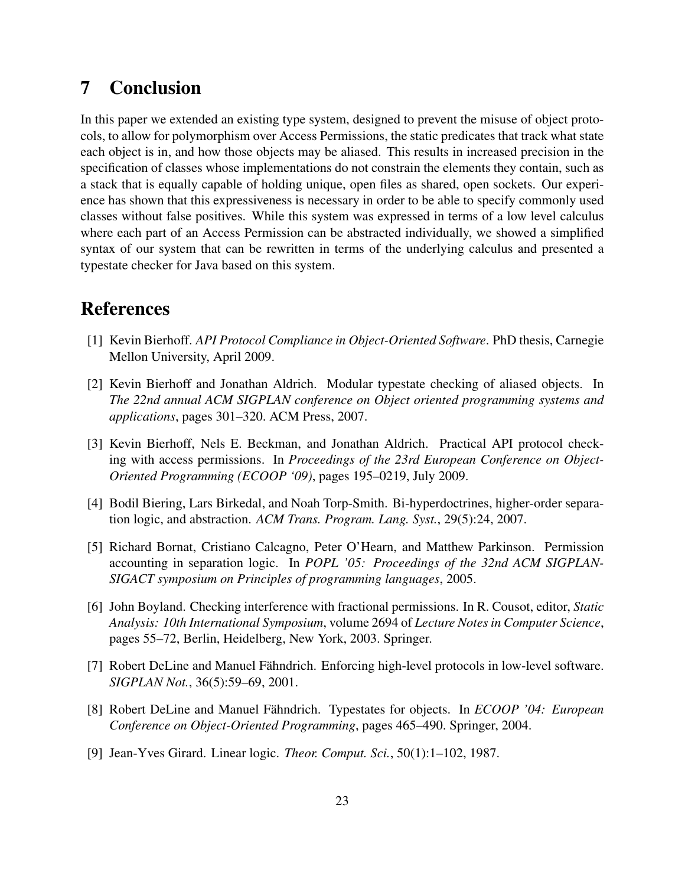# 7 Conclusion

In this paper we extended an existing type system, designed to prevent the misuse of object protocols, to allow for polymorphism over Access Permissions, the static predicates that track what state each object is in, and how those objects may be aliased. This results in increased precision in the specification of classes whose implementations do not constrain the elements they contain, such as a stack that is equally capable of holding unique, open files as shared, open sockets. Our experience has shown that this expressiveness is necessary in order to be able to specify commonly used classes without false positives. While this system was expressed in terms of a low level calculus where each part of an Access Permission can be abstracted individually, we showed a simplified syntax of our system that can be rewritten in terms of the underlying calculus and presented a typestate checker for Java based on this system.

# References

- [1] Kevin Bierhoff. *API Protocol Compliance in Object-Oriented Software*. PhD thesis, Carnegie Mellon University, April 2009.
- [2] Kevin Bierhoff and Jonathan Aldrich. Modular typestate checking of aliased objects. In *The 22nd annual ACM SIGPLAN conference on Object oriented programming systems and applications*, pages 301–320. ACM Press, 2007.
- [3] Kevin Bierhoff, Nels E. Beckman, and Jonathan Aldrich. Practical API protocol checking with access permissions. In *Proceedings of the 23rd European Conference on Object-Oriented Programming (ECOOP '09)*, pages 195–0219, July 2009.
- [4] Bodil Biering, Lars Birkedal, and Noah Torp-Smith. Bi-hyperdoctrines, higher-order separation logic, and abstraction. *ACM Trans. Program. Lang. Syst.*, 29(5):24, 2007.
- [5] Richard Bornat, Cristiano Calcagno, Peter O'Hearn, and Matthew Parkinson. Permission accounting in separation logic. In *POPL '05: Proceedings of the 32nd ACM SIGPLAN-SIGACT symposium on Principles of programming languages*, 2005.
- [6] John Boyland. Checking interference with fractional permissions. In R. Cousot, editor, *Static Analysis: 10th International Symposium*, volume 2694 of *Lecture Notes in Computer Science*, pages 55–72, Berlin, Heidelberg, New York, 2003. Springer.
- [7] Robert DeLine and Manuel Fähndrich. Enforcing high-level protocols in low-level software. *SIGPLAN Not.*, 36(5):59–69, 2001.
- [8] Robert DeLine and Manuel Fähndrich. Typestates for objects. In *ECOOP '04: European Conference on Object-Oriented Programming*, pages 465–490. Springer, 2004.
- [9] Jean-Yves Girard. Linear logic. *Theor. Comput. Sci.*, 50(1):1–102, 1987.